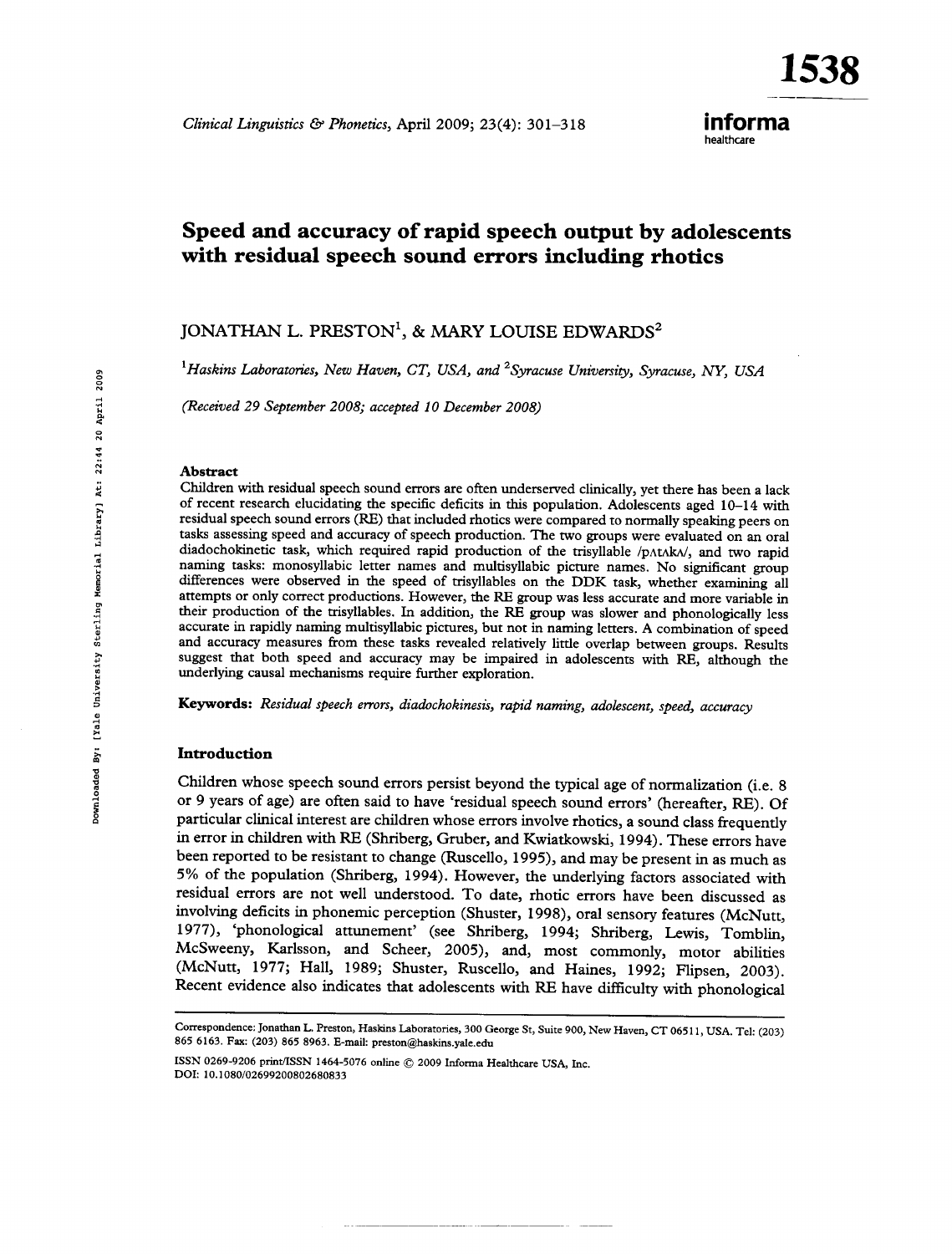153)

## informa healthcare

# Speed and accuracy of rapid speech output by adolescents with residual speech sound errors including rhotics

## JONATHAN L. PRESTON<sup>1</sup>, & MARY LOUISE EDWARDS<sup>2</sup>

<sup>1</sup>Haskins Laboratories, New Haven, CT, USA, and <sup>2</sup>Syracuse University, Syracuse, NY, USA

(Received 29 September 2008; accepted 10 December 2008)

#### **Abstract**

Children with residual speech sound errors are often underserved clinically, yet there has been a lack of recent research elucidating the specific deficits in this population. Adolescents aged 10-14 with residual speech sound errors (RE) that included rhotics were compared to normally speaking peers on tasks assessing speed and accuracy of speech production. The two groups were evaluated on an oral diadochokinetic task, which required rapid production of the trisyllable /p^t^ak^/, and two rapid naming tasks: monosyllabic letter names and multisyllabic picture names. No significant group differences were observed in the speed of trisyllables on the DDK task, whether examining all attempts or only correct productions. However, the RE group was less accurate and more variable in their production of the trisyllables. In addition, the RE group was slower and phonologically less accurate in rapidly naming multisyllabic pictures, but not in naming letters. A combination of speed and accuracy measures from these tasks revealed relatively little overlap between groups. Results suggest that both speed and accuracy may be impaired in adolescents with RE, although the underlying causal mechanisms require further exploration.

Keywords: Residual speech errors, diadochokinesis, rapid naming, adolescent, speed, accuracy

#### Introduction

Children whose speech sound errors persist beyond the typical age of normalization (i.e. 8 or 9 years of age) are often said to have 'residual speech sound errors' (hereafter, RE). Of particular clinical interest are children whose errors involve rhotics, a sound class frequently in error in children with RE (Shriberg, Gruber, and Kwiatkowski, 1994). These errors have been reported to be resistant to change (Ruscello, 1995), and may be present in as much as 5% of the population (Shriberg, 1994). However, the underlying factors associated with residual errors are not well understood. To date, rhotic errors have been discussed as involving deficits in phonemic perception (Shuster, 1998), oral sensory features (McNutt, 1977), 'phonological attunement' (see Shriberg, 1994; Shriberg, Lewis, Tomblin, McSweeny, Karlsson, and Scheer, 2005), and, most commonly, motor abilities (McNutt, 1977; Hall, 1989; Shuster, Ruscello, and Haines, 1992; Flipsen, 2003). Recent evidence also indicates that adolescents with RE have difficulty with phonological

ISSN 0269-9206 print/ISSN 1464-5076 online © 2009 Informa Healthcare USA, Inc. DOI: 10.1080/02699200802680833

Correspondence: Jonathan L. Preston, Haskins Laboratories, 300 George St, Suite 900, New Haven, CT 06511, USA. Tel: (203) 865 6163. Fax: (203) 865 8963. E-mail: preston@haskins.yale.edu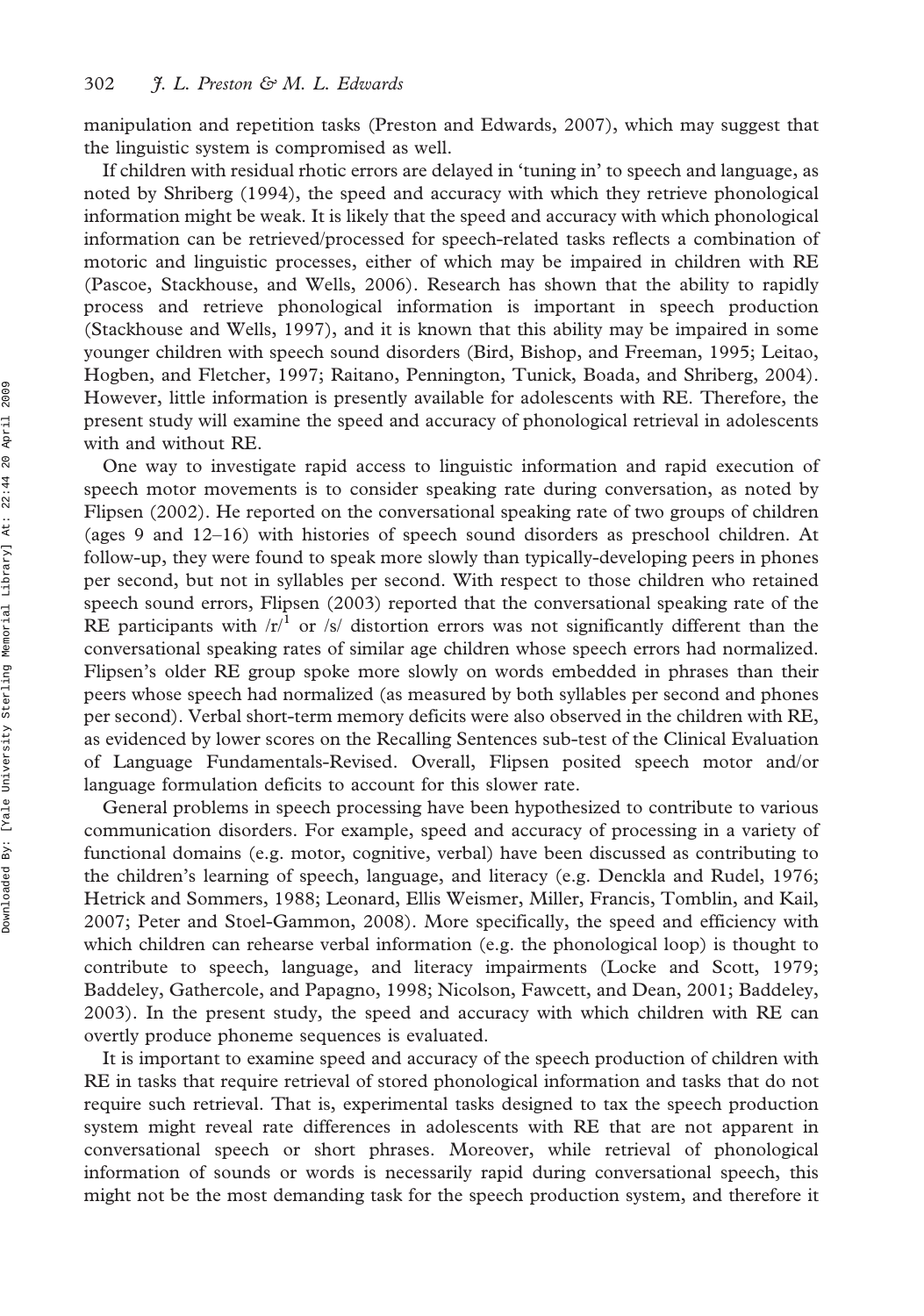manipulation and repetition tasks (Preston and Edwards, 2007), which may suggest that the linguistic system is compromised as well.

If children with residual rhotic errors are delayed in 'tuning in' to speech and language, as noted by Shriberg (1994), the speed and accuracy with which they retrieve phonological information might be weak. It is likely that the speed and accuracy with which phonological information can be retrieved/processed for speech-related tasks reflects a combination of motoric and linguistic processes, either of which may be impaired in children with RE (Pascoe, Stackhouse, and Wells, 2006). Research has shown that the ability to rapidly process and retrieve phonological information is important in speech production (Stackhouse and Wells, 1997), and it is known that this ability may be impaired in some younger children with speech sound disorders (Bird, Bishop, and Freeman, 1995; Leitao, Hogben, and Fletcher, 1997; Raitano, Pennington, Tunick, Boada, and Shriberg, 2004). However, little information is presently available for adolescents with RE. Therefore, the present study will examine the speed and accuracy of phonological retrieval in adolescents with and without RE.

One way to investigate rapid access to linguistic information and rapid execution of speech motor movements is to consider speaking rate during conversation, as noted by Flipsen (2002). He reported on the conversational speaking rate of two groups of children (ages 9 and 12–16) with histories of speech sound disorders as preschool children. At follow-up, they were found to speak more slowly than typically-developing peers in phones per second, but not in syllables per second. With respect to those children who retained speech sound errors, Flipsen (2003) reported that the conversational speaking rate of the RE participants with  $/r'^{1}$  or /s/ distortion errors was not significantly different than the conversational speaking rates of similar age children whose speech errors had normalized. Flipsen's older RE group spoke more slowly on words embedded in phrases than their peers whose speech had normalized (as measured by both syllables per second and phones per second). Verbal short-term memory deficits were also observed in the children with RE, as evidenced by lower scores on the Recalling Sentences sub-test of the Clinical Evaluation of Language Fundamentals-Revised. Overall, Flipsen posited speech motor and/or language formulation deficits to account for this slower rate.

General problems in speech processing have been hypothesized to contribute to various communication disorders. For example, speed and accuracy of processing in a variety of functional domains (e.g. motor, cognitive, verbal) have been discussed as contributing to the children's learning of speech, language, and literacy (e.g. Denckla and Rudel, 1976; Hetrick and Sommers, 1988; Leonard, Ellis Weismer, Miller, Francis, Tomblin, and Kail, 2007; Peter and Stoel-Gammon, 2008). More specifically, the speed and efficiency with which children can rehearse verbal information (e.g. the phonological loop) is thought to contribute to speech, language, and literacy impairments (Locke and Scott, 1979; Baddeley, Gathercole, and Papagno, 1998; Nicolson, Fawcett, and Dean, 2001; Baddeley, 2003). In the present study, the speed and accuracy with which children with RE can overtly produce phoneme sequences is evaluated.

It is important to examine speed and accuracy of the speech production of children with RE in tasks that require retrieval of stored phonological information and tasks that do not require such retrieval. That is, experimental tasks designed to tax the speech production system might reveal rate differences in adolescents with RE that are not apparent in conversational speech or short phrases. Moreover, while retrieval of phonological information of sounds or words is necessarily rapid during conversational speech, this might not be the most demanding task for the speech production system, and therefore it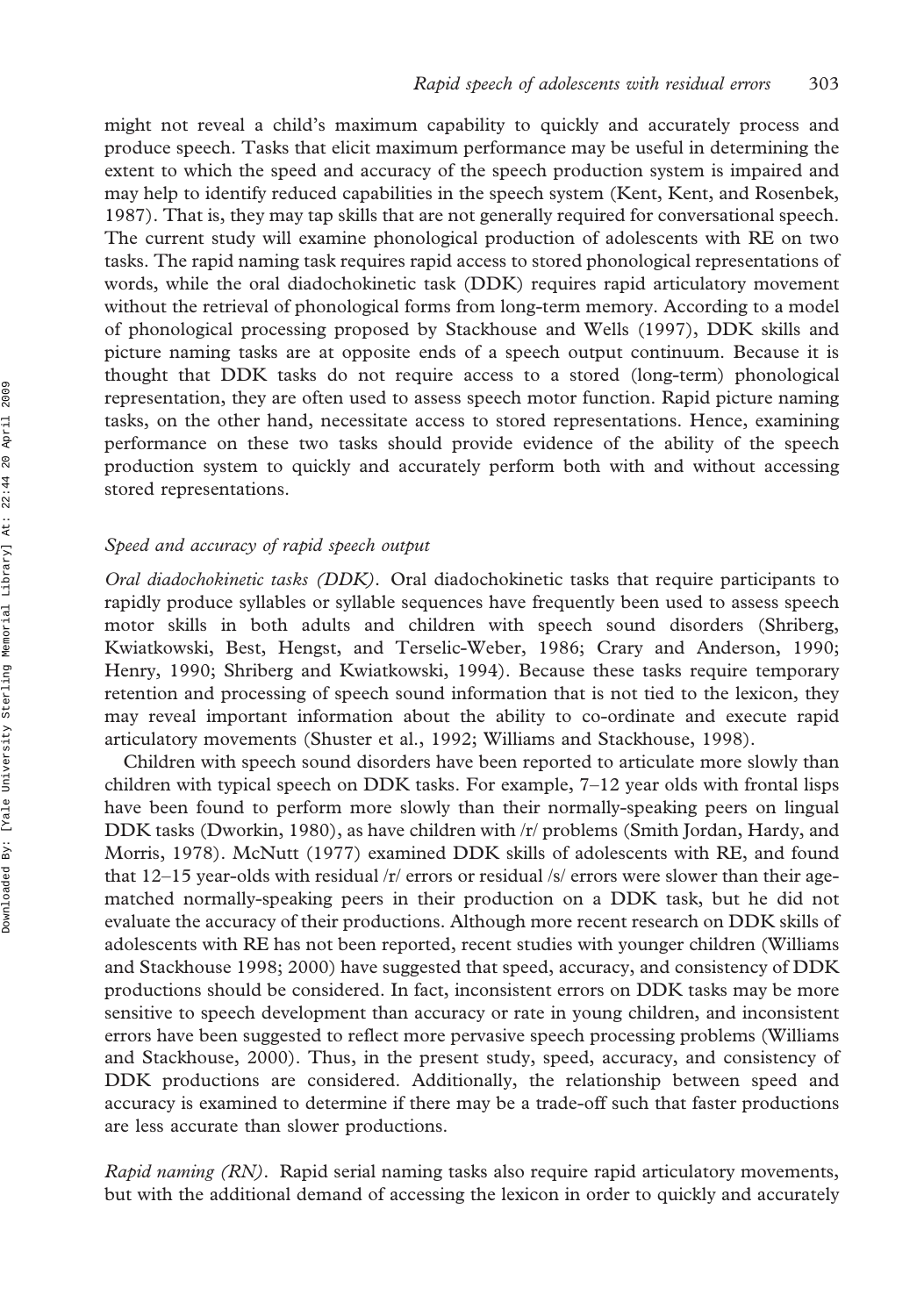might not reveal a child's maximum capability to quickly and accurately process and produce speech. Tasks that elicit maximum performance may be useful in determining the extent to which the speed and accuracy of the speech production system is impaired and may help to identify reduced capabilities in the speech system (Kent, Kent, and Rosenbek, 1987). That is, they may tap skills that are not generally required for conversational speech. The current study will examine phonological production of adolescents with RE on two tasks. The rapid naming task requires rapid access to stored phonological representations of words, while the oral diadochokinetic task (DDK) requires rapid articulatory movement without the retrieval of phonological forms from long-term memory. According to a model of phonological processing proposed by Stackhouse and Wells (1997), DDK skills and picture naming tasks are at opposite ends of a speech output continuum. Because it is thought that DDK tasks do not require access to a stored (long-term) phonological representation, they are often used to assess speech motor function. Rapid picture naming tasks, on the other hand, necessitate access to stored representations. Hence, examining performance on these two tasks should provide evidence of the ability of the speech production system to quickly and accurately perform both with and without accessing stored representations.

## Speed and accuracy of rapid speech output

Oral diadochokinetic tasks (DDK). Oral diadochokinetic tasks that require participants to rapidly produce syllables or syllable sequences have frequently been used to assess speech motor skills in both adults and children with speech sound disorders (Shriberg, Kwiatkowski, Best, Hengst, and Terselic-Weber, 1986; Crary and Anderson, 1990; Henry, 1990; Shriberg and Kwiatkowski, 1994). Because these tasks require temporary retention and processing of speech sound information that is not tied to the lexicon, they may reveal important information about the ability to co-ordinate and execute rapid articulatory movements (Shuster et al., 1992; Williams and Stackhouse, 1998).

Children with speech sound disorders have been reported to articulate more slowly than children with typical speech on DDK tasks. For example, 7–12 year olds with frontal lisps have been found to perform more slowly than their normally-speaking peers on lingual DDK tasks (Dworkin, 1980), as have children with /r/ problems (Smith Jordan, Hardy, and Morris, 1978). McNutt (1977) examined DDK skills of adolescents with RE, and found that 12–15 year-olds with residual /r/ errors or residual /s/ errors were slower than their agematched normally-speaking peers in their production on a DDK task, but he did not evaluate the accuracy of their productions. Although more recent research on DDK skills of adolescents with RE has not been reported, recent studies with younger children (Williams and Stackhouse 1998; 2000) have suggested that speed, accuracy, and consistency of DDK productions should be considered. In fact, inconsistent errors on DDK tasks may be more sensitive to speech development than accuracy or rate in young children, and inconsistent errors have been suggested to reflect more pervasive speech processing problems (Williams and Stackhouse, 2000). Thus, in the present study, speed, accuracy, and consistency of DDK productions are considered. Additionally, the relationship between speed and accuracy is examined to determine if there may be a trade-off such that faster productions are less accurate than slower productions.

Rapid naming (RN). Rapid serial naming tasks also require rapid articulatory movements, but with the additional demand of accessing the lexicon in order to quickly and accurately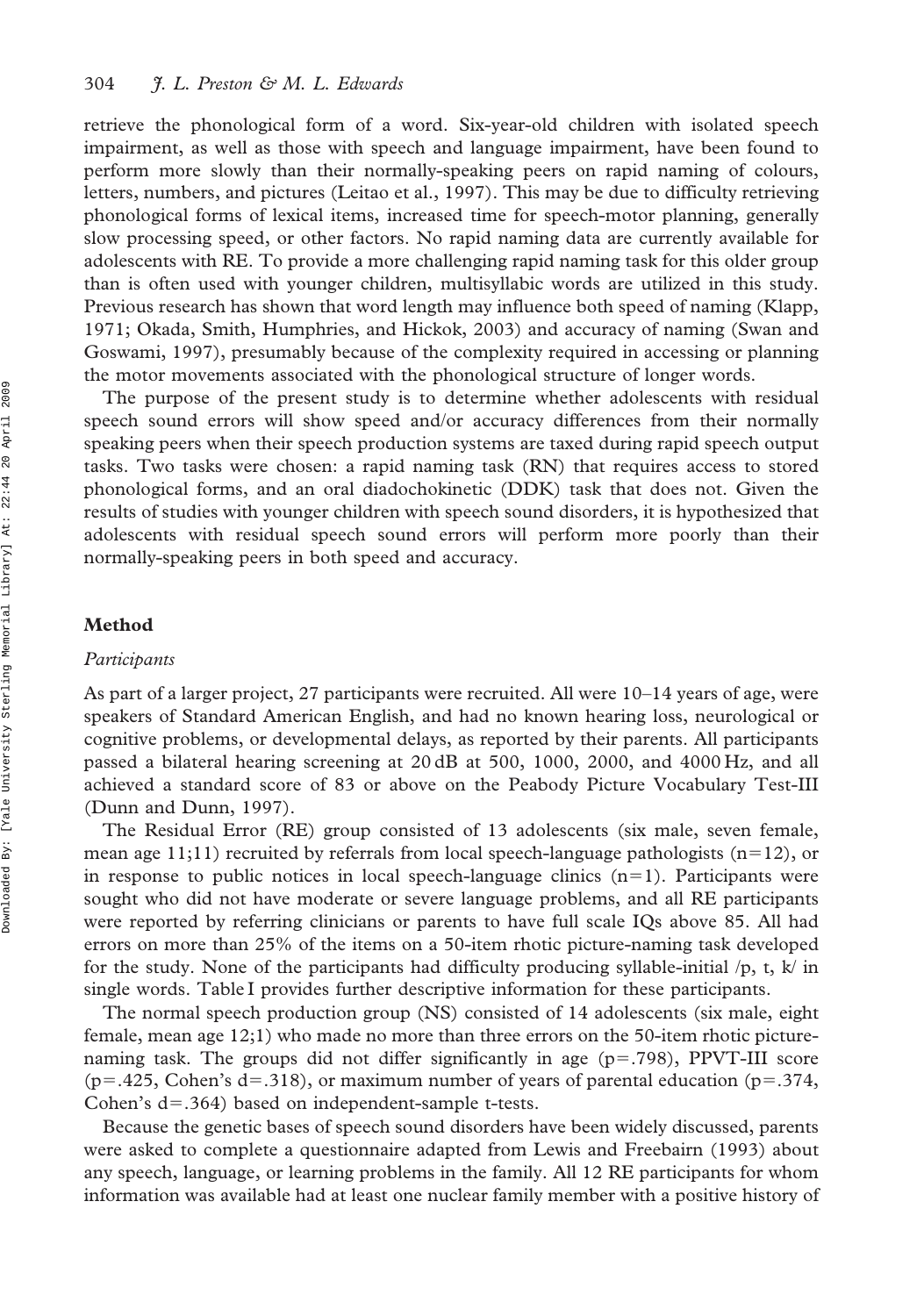retrieve the phonological form of a word. Six-year-old children with isolated speech impairment, as well as those with speech and language impairment, have been found to perform more slowly than their normally-speaking peers on rapid naming of colours, letters, numbers, and pictures (Leitao et al., 1997). This may be due to difficulty retrieving phonological forms of lexical items, increased time for speech-motor planning, generally slow processing speed, or other factors. No rapid naming data are currently available for adolescents with RE. To provide a more challenging rapid naming task for this older group than is often used with younger children, multisyllabic words are utilized in this study. Previous research has shown that word length may influence both speed of naming (Klapp, 1971; Okada, Smith, Humphries, and Hickok, 2003) and accuracy of naming (Swan and Goswami, 1997), presumably because of the complexity required in accessing or planning the motor movements associated with the phonological structure of longer words.

The purpose of the present study is to determine whether adolescents with residual speech sound errors will show speed and/or accuracy differences from their normally speaking peers when their speech production systems are taxed during rapid speech output tasks. Two tasks were chosen: a rapid naming task (RN) that requires access to stored phonological forms, and an oral diadochokinetic (DDK) task that does not. Given the results of studies with younger children with speech sound disorders, it is hypothesized that adolescents with residual speech sound errors will perform more poorly than their normally-speaking peers in both speed and accuracy.

#### Method

#### Participants

As part of a larger project, 27 participants were recruited. All were 10–14 years of age, were speakers of Standard American English, and had no known hearing loss, neurological or cognitive problems, or developmental delays, as reported by their parents. All participants passed a bilateral hearing screening at 20 dB at 500, 1000, 2000, and 4000 Hz, and all achieved a standard score of 83 or above on the Peabody Picture Vocabulary Test-III (Dunn and Dunn, 1997).

The Residual Error (RE) group consisted of 13 adolescents (six male, seven female, mean age 11;11) recruited by referrals from local speech-language pathologists ( $n=12$ ), or in response to public notices in local speech-language clinics  $(n=1)$ . Participants were sought who did not have moderate or severe language problems, and all RE participants were reported by referring clinicians or parents to have full scale IQs above 85. All had errors on more than 25% of the items on a 50-item rhotic picture-naming task developed for the study. None of the participants had difficulty producing syllable-initial  $/p$ , t, k in single words. Table I provides further descriptive information for these participants.

The normal speech production group (NS) consisted of 14 adolescents (six male, eight female, mean age 12;1) who made no more than three errors on the 50-item rhotic picturenaming task. The groups did not differ significantly in age  $(p=.798)$ , PPVT-III score (p=.425, Cohen's d=.318), or maximum number of years of parental education (p=.374, Cohen's  $d=0.364$ ) based on independent-sample t-tests.

Because the genetic bases of speech sound disorders have been widely discussed, parents were asked to complete a questionnaire adapted from Lewis and Freebairn (1993) about any speech, language, or learning problems in the family. All 12 RE participants for whom information was available had at least one nuclear family member with a positive history of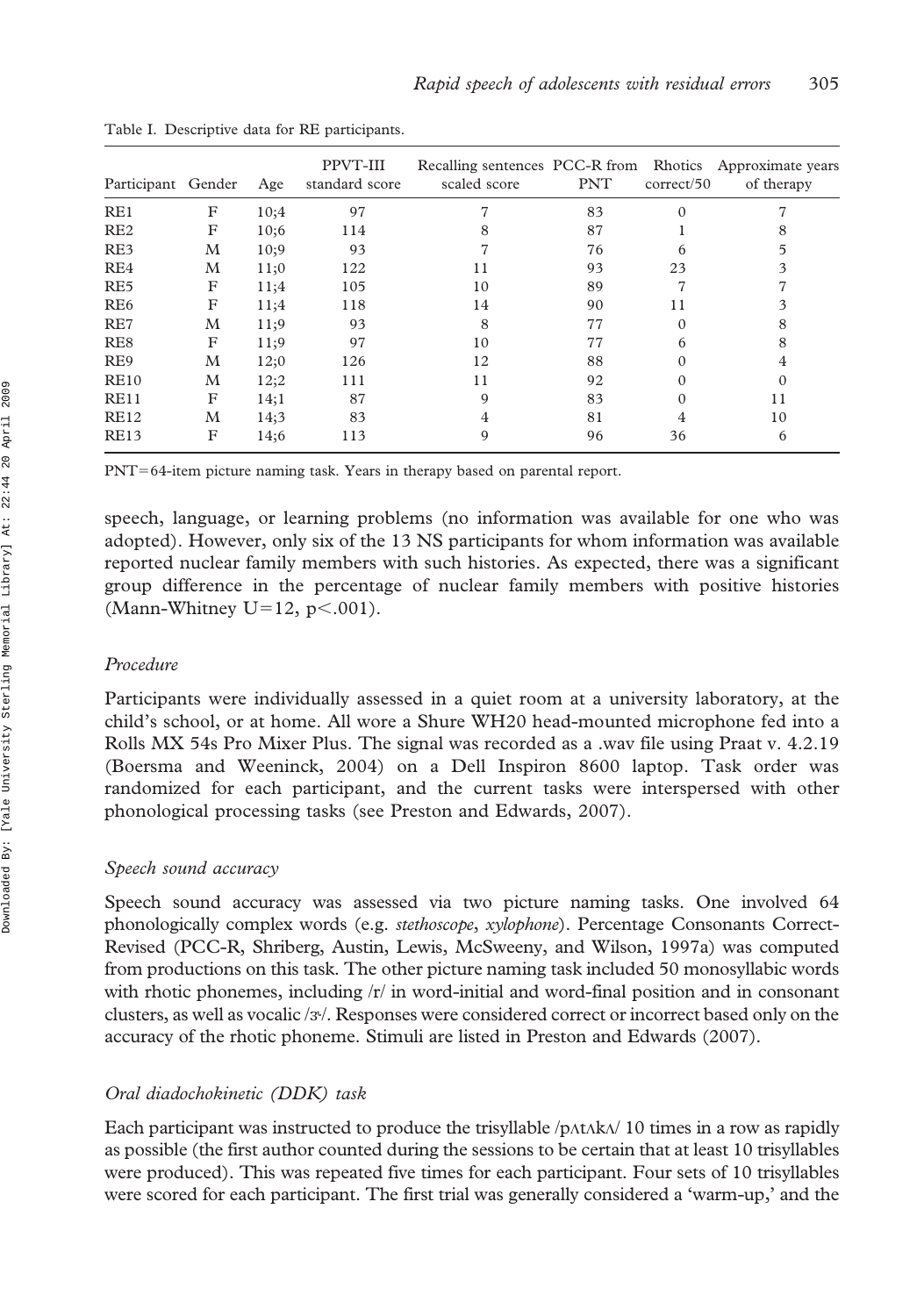| Participant Gender |   | Age  | PPVT-III<br>standard score | Recalling sentences PCC-R from Rhotics Approximate years<br>scaled score | <b>PNT</b> | correct/50 | of therapy |
|--------------------|---|------|----------------------------|--------------------------------------------------------------------------|------------|------------|------------|
| RE1                | F | 10;4 | 97                         | 7                                                                        | 83         | $\Omega$   |            |
| RE2                | F | 10:6 | 114                        | 8                                                                        | 87         |            | 8          |
| RE3                | М | 10;9 | 93                         | 7                                                                        | 76         | 6          | 5          |
| RE4                | М | 11;0 | 122                        | 11                                                                       | 93         | 23         | 3          |
| RE <sub>5</sub>    | F | 11;4 | 105                        | 10                                                                       | 89         | 7          |            |
| RE <sub>6</sub>    | F | 11;4 | 118                        | 14                                                                       | 90         | 11         | 3          |
| RE7                | М | 11;9 | 93                         | 8                                                                        | 77         | $\Omega$   | 8          |
| RE8                | F | 11;9 | 97                         | 10                                                                       | 77         | 6          | 8          |
| RE9                | М | 12;0 | 126                        | 12                                                                       | 88         | $\Omega$   | 4          |
| <b>RE10</b>        | М | 12;2 | 111                        | 11                                                                       | 92         | $\Omega$   |            |
| <b>RE11</b>        | F | 14;1 | 87                         | $\mathbf Q$                                                              | 83         | $\Omega$   | 11         |
| <b>RE12</b>        | М | 14;3 | 83                         | 4                                                                        | 81         | 4          | 10         |
| <b>RE13</b>        | F | 14;6 | 113                        | 9                                                                        | 96         | 36         | 6          |

Table I. Descriptive data for RE participants.

PNT=64-item picture naming task. Years in therapy based on parental report.

speech, language, or learning problems (no information was available for one who was adopted). However, only six of the 13 NS participants for whom information was available reported nuclear family members with such histories. As expected, there was a significant group difference in the percentage of nuclear family members with positive histories (Mann-Whitney U=12,  $p<.001$ ).

#### Procedure

Participants were individually assessed in a quiet room at a university laboratory, at the child's school, or at home. All wore a Shure WH20 head-mounted microphone fed into a Rolls MX 54s Pro Mixer Plus. The signal was recorded as a .wav file using Praat v. 4.2.19 (Boersma and Weeninck, 2004) on a Dell Inspiron 8600 laptop. Task order was randomized for each participant, and the current tasks were interspersed with other phonological processing tasks (see Preston and Edwards, 2007).

#### Speech sound accuracy

Speech sound accuracy was assessed via two picture naming tasks. One involved 64 phonologically complex words (e.g. stethoscope, xylophone). Percentage Consonants Correct-Revised (PCC-R, Shriberg, Austin, Lewis, McSweeny, and Wilson, 1997a) was computed from productions on this task. The other picture naming task included 50 monosyllabic words with rhotic phonemes, including /r/ in word-initial and word-final position and in consonant clusters, as well as vocalic /*k*/. Responses were considered correct or incorrect based only on the accuracy of the rhotic phoneme. Stimuli are listed in Preston and Edwards (2007).

## Oral diadochokinetic (DDK) task

Each participant was instructed to produce the trisyllable  $/p$ AtAk $\lambda$ / 10 times in a row as rapidly as possible (the first author counted during the sessions to be certain that at least 10 trisyllables were produced). This was repeated five times for each participant. Four sets of 10 trisyllables were scored for each participant. The first trial was generally considered a 'warm-up,' and the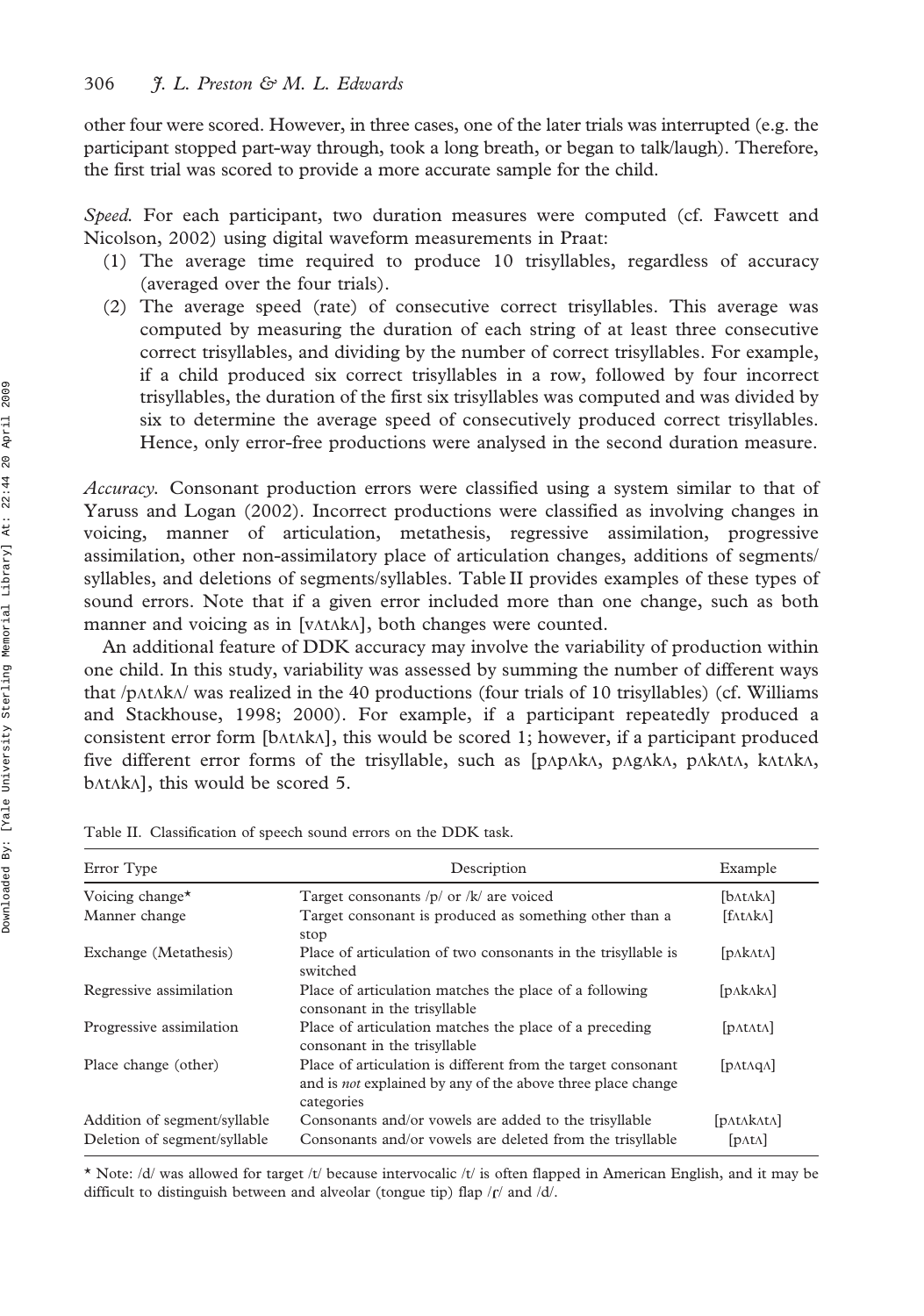other four were scored. However, in three cases, one of the later trials was interrupted (e.g. the participant stopped part-way through, took a long breath, or began to talk/laugh). Therefore, the first trial was scored to provide a more accurate sample for the child.

Speed. For each participant, two duration measures were computed (cf. Fawcett and Nicolson, 2002) using digital waveform measurements in Praat:

- (1) The average time required to produce 10 trisyllables, regardless of accuracy (averaged over the four trials).
- (2) The average speed (rate) of consecutive correct trisyllables. This average was computed by measuring the duration of each string of at least three consecutive correct trisyllables, and dividing by the number of correct trisyllables. For example, if a child produced six correct trisyllables in a row, followed by four incorrect trisyllables, the duration of the first six trisyllables was computed and was divided by six to determine the average speed of consecutively produced correct trisyllables. Hence, only error-free productions were analysed in the second duration measure.

Accuracy. Consonant production errors were classified using a system similar to that of Yaruss and Logan (2002). Incorrect productions were classified as involving changes in voicing, manner of articulation, metathesis, regressive assimilation, progressive assimilation, other non-assimilatory place of articulation changes, additions of segments/ syllables, and deletions of segments/syllables. Table II provides examples of these types of sound errors. Note that if a given error included more than one change, such as both manner and voicing as in [v $\Lambda$ t $\Lambda$ k $\Lambda$ ], both changes were counted.

An additional feature of DDK accuracy may involve the variability of production within one child. In this study, variability was assessed by summing the number of different ways that /p $\Lambda$ t $\Lambda$ k $\Lambda$ / was realized in the 40 productions (four trials of 10 trisyllables) (cf. Williams and Stackhouse, 1998; 2000). For example, if a participant repeatedly produced a consistent error form  $[bAtA]$ , this would be scored 1; however, if a participant produced five different error forms of the trisyllable, such as [pLpLkL, pLgLkL, pLkLtL, kLtLkL,  $b$ AtAkA], this would be scored 5.

| Error Type                                                   | Description                                                                                                                                      | Example                       |
|--------------------------------------------------------------|--------------------------------------------------------------------------------------------------------------------------------------------------|-------------------------------|
| Voicing change*                                              | Target consonants $/p/$ or $/k/$ are voiced                                                                                                      | [b^t^k^]                      |
| Manner change                                                | Target consonant is produced as something other than a<br>stop                                                                                   | [fAtAkA]                      |
| Exchange (Metathesis)                                        | Place of articulation of two consonants in the trisyllable is<br>switched                                                                        | [pA kA tA]                    |
| Regressive assimilation                                      | Place of articulation matches the place of a following<br>consonant in the trisyllable                                                           | [pAkAkA]                      |
| Progressive assimilation                                     | Place of articulation matches the place of a preceding<br>consonant in the trisyllable                                                           | [pAtAtA]                      |
| Place change (other)                                         | Place of articulation is different from the target consonant<br>and is <i>not</i> explained by any of the above three place change<br>categories | [pA <sub>1</sub> AqA]         |
| Addition of segment/syllable<br>Deletion of segment/syllable | Consonants and/or vowels are added to the trisyllable<br>Consonants and/or vowels are deleted from the trisyllable                               | [DATAKATA]<br>$[pat \Lambda]$ |

Table II. Classification of speech sound errors on the DDK task.

\* Note: /d/ was allowed for target /t/ because intervocalic /t/ is often flapped in American English, and it may be difficult to distinguish between and alveolar (tongue tip) flap  $/$ f $/$  and  $/$ d $/$ .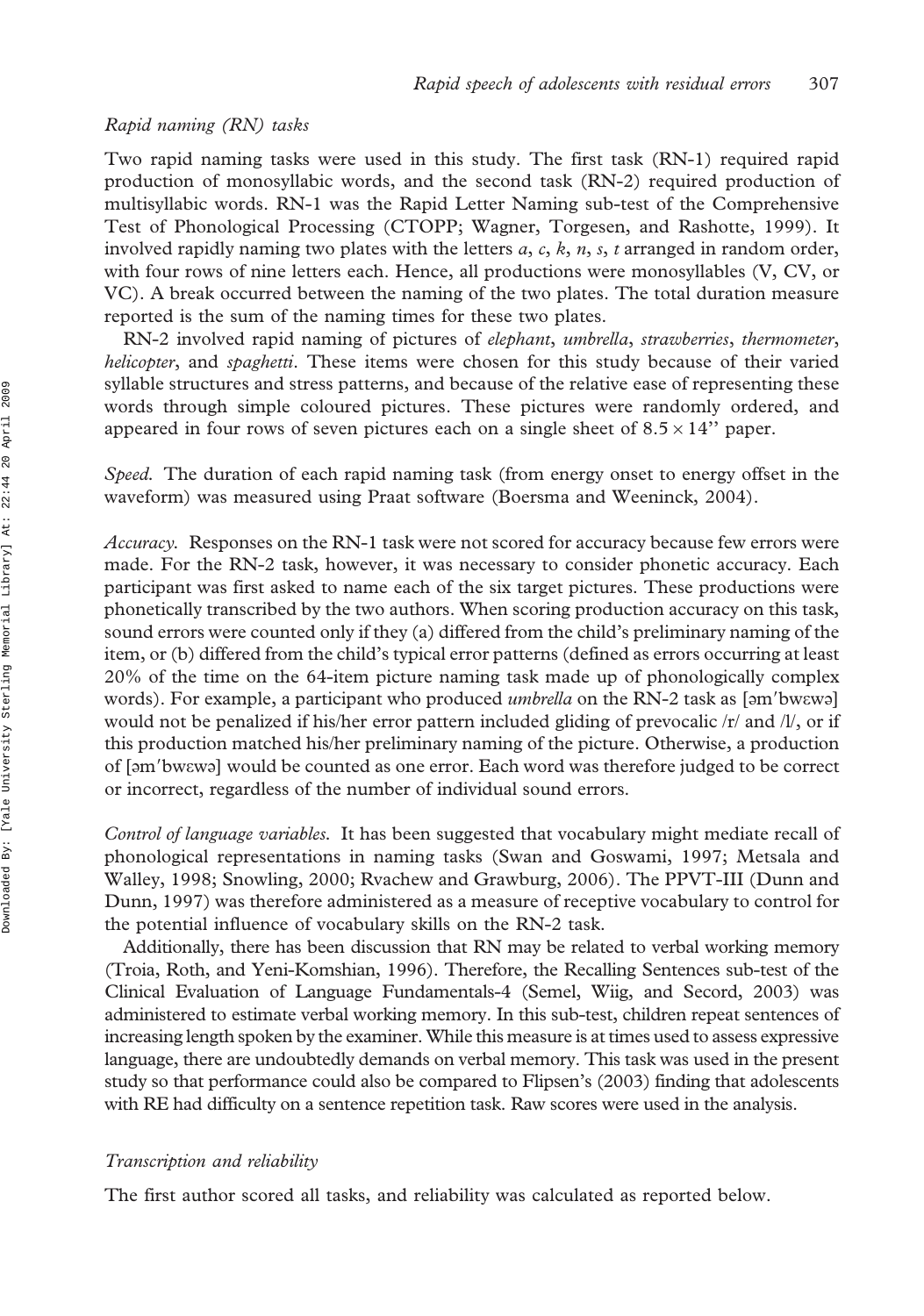## Rapid naming (RN) tasks

Two rapid naming tasks were used in this study. The first task (RN-1) required rapid production of monosyllabic words, and the second task (RN-2) required production of multisyllabic words. RN-1 was the Rapid Letter Naming sub-test of the Comprehensive Test of Phonological Processing (CTOPP; Wagner, Torgesen, and Rashotte, 1999). It involved rapidly naming two plates with the letters  $a, c, k, n, s, t$  arranged in random order, with four rows of nine letters each. Hence, all productions were monosyllables (V, CV, or VC). A break occurred between the naming of the two plates. The total duration measure reported is the sum of the naming times for these two plates.

RN-2 involved rapid naming of pictures of elephant, umbrella, strawberries, thermometer, helicopter, and *spaghetti*. These items were chosen for this study because of their varied syllable structures and stress patterns, and because of the relative ease of representing these words through simple coloured pictures. These pictures were randomly ordered, and appeared in four rows of seven pictures each on a single sheet of  $8.5 \times 14$ " paper.

Speed. The duration of each rapid naming task (from energy onset to energy offset in the waveform) was measured using Praat software (Boersma and Weeninck, 2004).

Accuracy. Responses on the RN-1 task were not scored for accuracy because few errors were made. For the RN-2 task, however, it was necessary to consider phonetic accuracy. Each participant was first asked to name each of the six target pictures. These productions were phonetically transcribed by the two authors. When scoring production accuracy on this task, sound errors were counted only if they (a) differed from the child's preliminary naming of the item, or (b) differed from the child's typical error patterns (defined as errors occurring at least 20% of the time on the 64-item picture naming task made up of phonologically complex words). For example, a participant who produced *umbrella* on the RN-2 task as [am'bwewe] would not be penalized if his/her error pattern included gliding of prevocalic /r/ and /l/, or if this production matched his/her preliminary naming of the picture. Otherwise, a production of [am'bwewa] would be counted as one error. Each word was therefore judged to be correct or incorrect, regardless of the number of individual sound errors.

Control of language variables. It has been suggested that vocabulary might mediate recall of phonological representations in naming tasks (Swan and Goswami, 1997; Metsala and Walley, 1998; Snowling, 2000; Rvachew and Grawburg, 2006). The PPVT-III (Dunn and Dunn, 1997) was therefore administered as a measure of receptive vocabulary to control for the potential influence of vocabulary skills on the RN-2 task.

Additionally, there has been discussion that RN may be related to verbal working memory (Troia, Roth, and Yeni-Komshian, 1996). Therefore, the Recalling Sentences sub-test of the Clinical Evaluation of Language Fundamentals-4 (Semel, Wiig, and Secord, 2003) was administered to estimate verbal working memory. In this sub-test, children repeat sentences of increasing length spoken by the examiner. While this measure is at times used to assess expressive language, there are undoubtedly demands on verbal memory. This task was used in the present study so that performance could also be compared to Flipsen's (2003) finding that adolescents with RE had difficulty on a sentence repetition task. Raw scores were used in the analysis.

## Transcription and reliability

The first author scored all tasks, and reliability was calculated as reported below.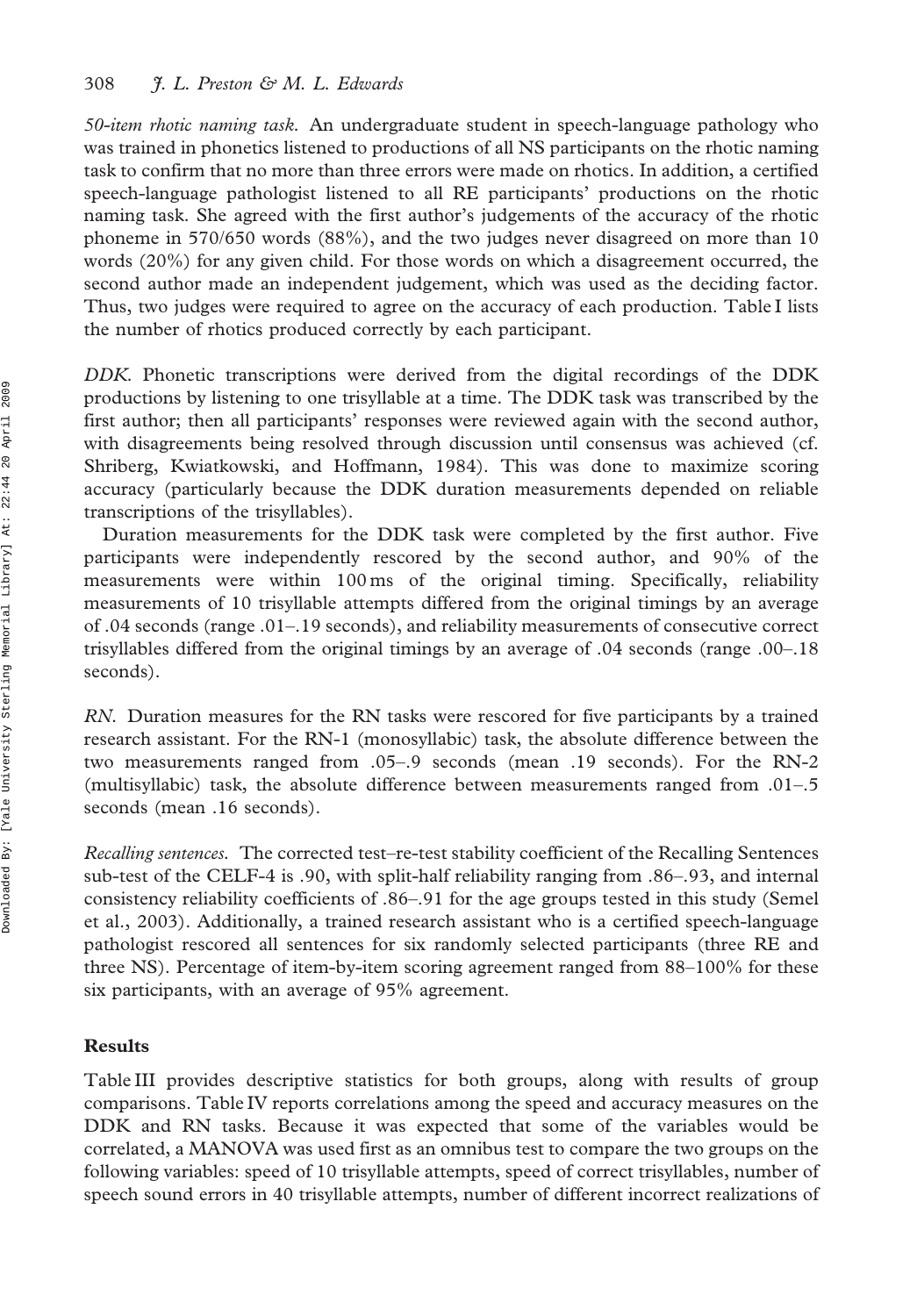50-item rhotic naming task. An undergraduate student in speech-language pathology who was trained in phonetics listened to productions of all NS participants on the rhotic naming task to confirm that no more than three errors were made on rhotics. In addition, a certified speech-language pathologist listened to all RE participants' productions on the rhotic naming task. She agreed with the first author's judgements of the accuracy of the rhotic phoneme in 570/650 words (88%), and the two judges never disagreed on more than 10 words (20%) for any given child. For those words on which a disagreement occurred, the second author made an independent judgement, which was used as the deciding factor. Thus, two judges were required to agree on the accuracy of each production. Table I lists the number of rhotics produced correctly by each participant.

DDK. Phonetic transcriptions were derived from the digital recordings of the DDK productions by listening to one trisyllable at a time. The DDK task was transcribed by the first author; then all participants' responses were reviewed again with the second author, with disagreements being resolved through discussion until consensus was achieved (cf. Shriberg, Kwiatkowski, and Hoffmann, 1984). This was done to maximize scoring accuracy (particularly because the DDK duration measurements depended on reliable transcriptions of the trisyllables).

Duration measurements for the DDK task were completed by the first author. Five participants were independently rescored by the second author, and 90% of the measurements were within 100 ms of the original timing. Specifically, reliability measurements of 10 trisyllable attempts differed from the original timings by an average of .04 seconds (range .01–.19 seconds), and reliability measurements of consecutive correct trisyllables differed from the original timings by an average of .04 seconds (range .00–.18 seconds).

RN. Duration measures for the RN tasks were rescored for five participants by a trained research assistant. For the RN-1 (monosyllabic) task, the absolute difference between the two measurements ranged from .05–.9 seconds (mean .19 seconds). For the RN-2 (multisyllabic) task, the absolute difference between measurements ranged from .01–.5 seconds (mean .16 seconds).

Recalling sentences. The corrected test–re-test stability coefficient of the Recalling Sentences sub-test of the CELF-4 is .90, with split-half reliability ranging from .86–.93, and internal consistency reliability coefficients of .86–.91 for the age groups tested in this study (Semel et al., 2003). Additionally, a trained research assistant who is a certified speech-language pathologist rescored all sentences for six randomly selected participants (three RE and three NS). Percentage of item-by-item scoring agreement ranged from 88–100% for these six participants, with an average of 95% agreement.

## Results

Table III provides descriptive statistics for both groups, along with results of group comparisons. Table IV reports correlations among the speed and accuracy measures on the DDK and RN tasks. Because it was expected that some of the variables would be correlated, a MANOVA was used first as an omnibus test to compare the two groups on the following variables: speed of 10 trisyllable attempts, speed of correct trisyllables, number of speech sound errors in 40 trisyllable attempts, number of different incorrect realizations of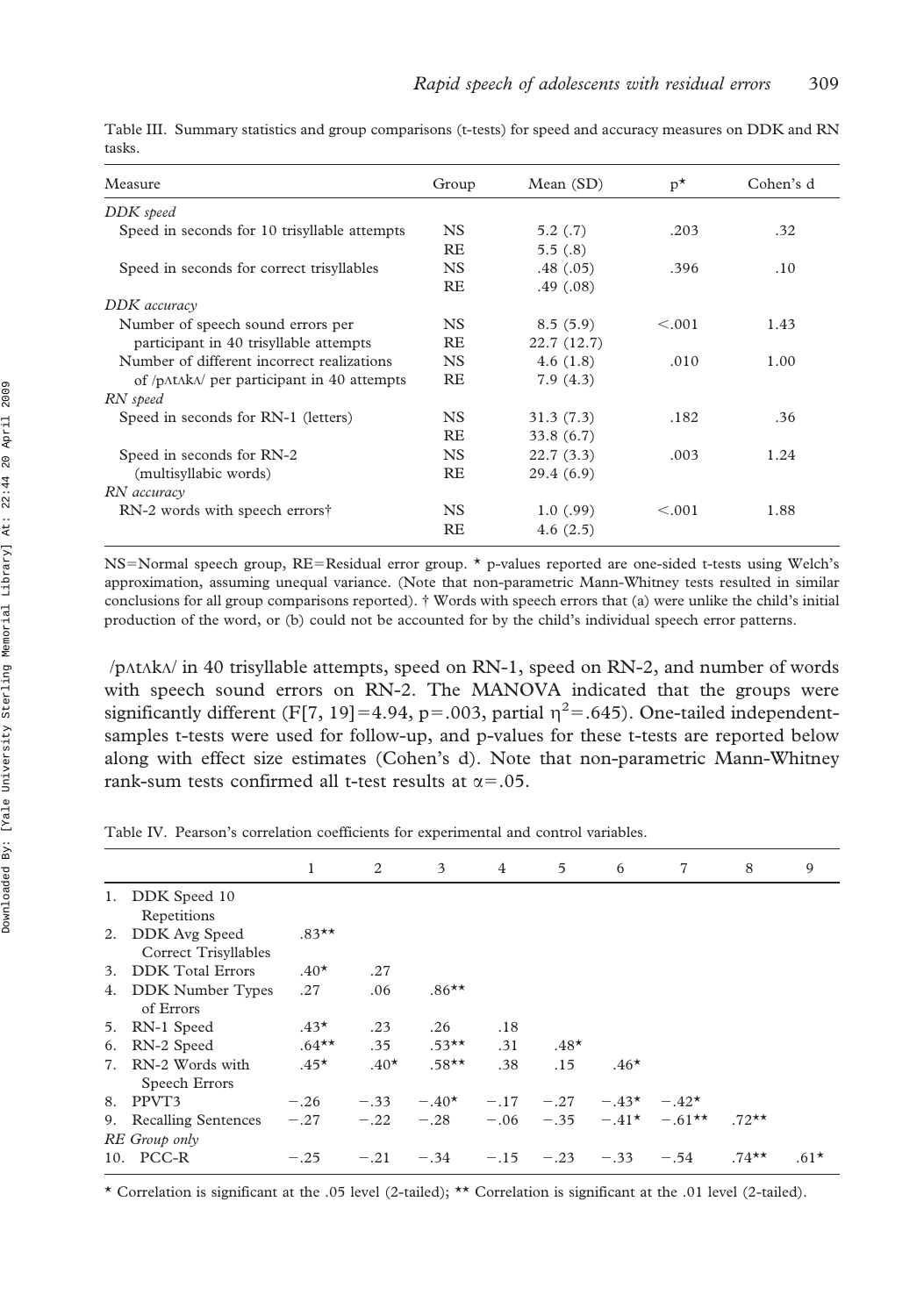|        |  | Table III. Summary statistics and group comparisons (t-tests) for speed and accuracy measures on DDK and RN |  |  |  |  |
|--------|--|-------------------------------------------------------------------------------------------------------------|--|--|--|--|
| tasks. |  |                                                                                                             |  |  |  |  |

| Measure                                      | Group     | Mean(SD)   | $p^{\star}$ | Cohen's d |
|----------------------------------------------|-----------|------------|-------------|-----------|
| DDK speed                                    |           |            |             |           |
| Speed in seconds for 10 trisyllable attempts | <b>NS</b> | 5.2(.7)    | .203        | .32       |
|                                              | <b>RE</b> | 5.5(.8)    |             |           |
| Speed in seconds for correct trisyllables    | <b>NS</b> | .48(.05)   | .396        | .10       |
|                                              | <b>RE</b> | .49(0.08)  |             |           |
| DDK accuracy                                 |           |            |             |           |
| Number of speech sound errors per            | <b>NS</b> | 8.5(5.9)   | < 0.001     | 1.43      |
| participant in 40 trisyllable attempts       | <b>RE</b> | 22.7(12.7) |             |           |
| Number of different incorrect realizations   | <b>NS</b> | 4.6(1.8)   | .010        | 1.00      |
| of /p/t/k/ per participant in 40 attempts    | <b>RE</b> | 7.9(4.3)   |             |           |
| RN speed                                     |           |            |             |           |
| Speed in seconds for RN-1 (letters)          | <b>NS</b> | 31.3(7.3)  | .182        | .36       |
|                                              | <b>RE</b> | 33.8(6.7)  |             |           |
| Speed in seconds for RN-2                    | <b>NS</b> | 22.7(3.3)  | .003        | 1.24      |
| (multisyllabic words)                        | <b>RE</b> | 29.4(6.9)  |             |           |
| RN accuracy                                  |           |            |             |           |
| RN-2 words with speech errors†               | <b>NS</b> | 1.0(0.99)  | < 0.001     | 1.88      |
|                                              | RE        | 4.6(2.5)   |             |           |

NS=Normal speech group, RE=Residual error group. \* p-values reported are one-sided t-tests using Welch's approximation, assuming unequal variance. (Note that non-parametric Mann-Whitney tests resulted in similar conclusions for all group comparisons reported). { Words with speech errors that (a) were unlike the child's initial production of the word, or (b) could not be accounted for by the child's individual speech error patterns.

 $\pi$ /p $\Lambda$ t $\Lambda$ k $\Lambda$  in 40 trisyllable attempts, speed on RN-1, speed on RN-2, and number of words with speech sound errors on RN-2. The MANOVA indicated that the groups were significantly different (F[7, 19]=4.94, p=.003, partial  $\eta^2$ =.645). One-tailed independentsamples t-tests were used for follow-up, and p-values for these t-tests are reported below along with effect size estimates (Cohen's d). Note that non-parametric Mann-Whitney rank-sum tests confirmed all t-test results at  $\alpha$ =.05.

Table IV. Pearson's correlation coefficients for experimental and control variables.

|    |                                          | $\mathbf{1}$ | 2      | 3        | $\overline{4}$ | 5            | 6      | 7                               | 8       | 9      |
|----|------------------------------------------|--------------|--------|----------|----------------|--------------|--------|---------------------------------|---------|--------|
|    | 1. DDK Speed 10<br>Repetitions           |              |        |          |                |              |        |                                 |         |        |
|    | 2. DDK Avg Speed<br>Correct Trisyllables | $.83**$      |        |          |                |              |        |                                 |         |        |
| 3. | <b>DDK</b> Total Errors                  | $.40*$       | .27    |          |                |              |        |                                 |         |        |
|    | 4. DDK Number Types<br>of Errors         | .27          | .06    | $.86***$ |                |              |        |                                 |         |        |
|    | 5. RN-1 Speed                            | $.43*$       | .23    | .26      | .18            |              |        |                                 |         |        |
|    | 6. RN-2 Speed                            | $.64***$     | .35    | $.53***$ | .31            | $.48*$       |        |                                 |         |        |
| 7. | RN-2 Words with<br>Speech Errors         | $.45*$       | $.40*$ | $.58**$  | .38            | .15          | $.46*$ |                                 |         |        |
|    | 8. PPVT3                                 | $-.26$       | $-.33$ | $-.40*$  |                | $-.17 - .27$ |        | $-.43* - .42*$                  |         |        |
|    | 9. Recalling Sentences<br>RE Group only  | $-.27$       | $-.22$ | $-.28$   |                |              |        | $-.06 - .35 - .41^* - .61^{**}$ | $.72**$ |        |
|    | 10. PCC-R                                | $-.25$       | $-.21$ | $-.34$   | $-.15$         | $-.23$       | $-.33$ | $-.54$                          | $.74**$ | $.61*$ |

\* Correlation is significant at the .05 level (2-tailed); \*\* Correlation is significant at the .01 level (2-tailed).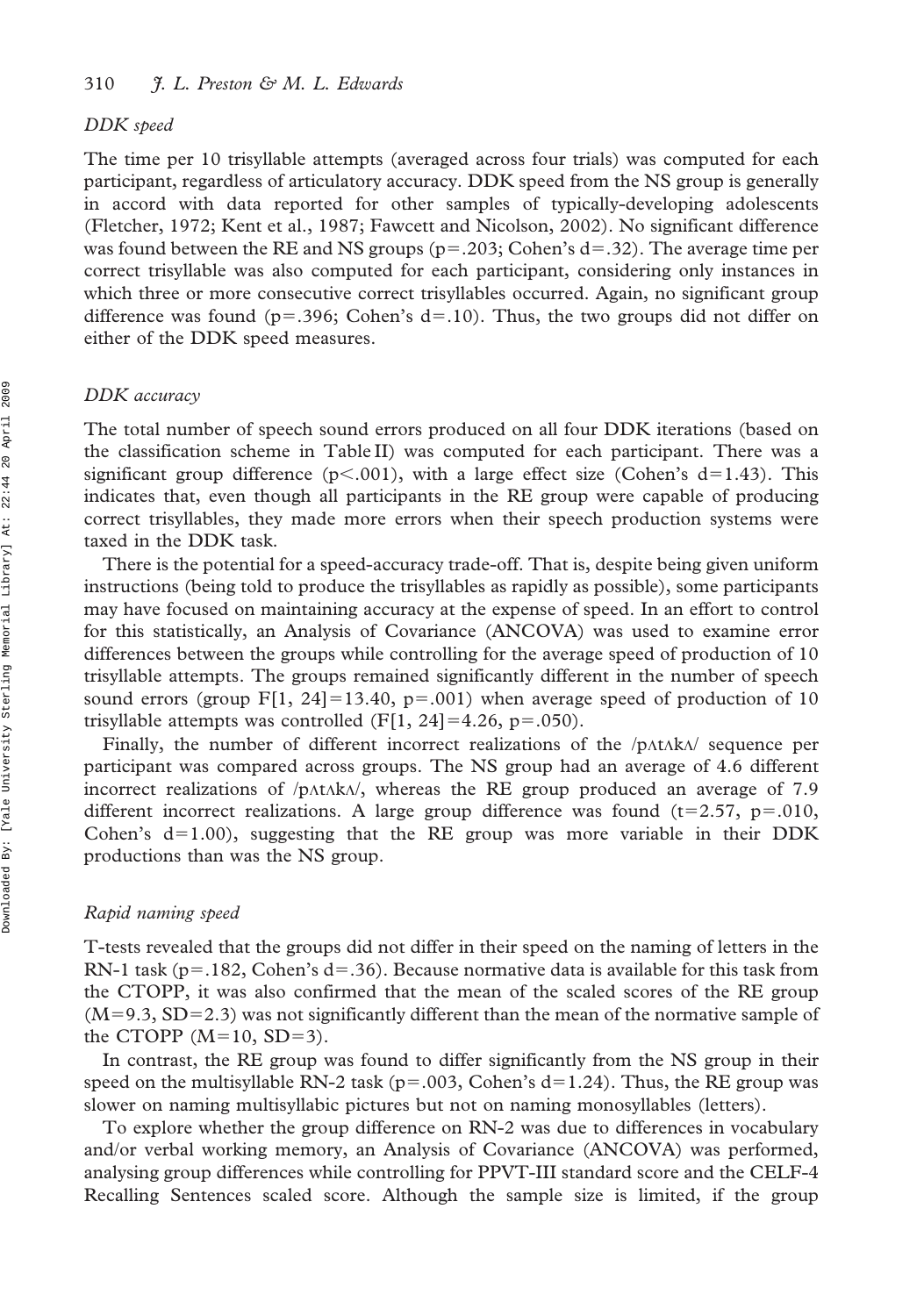#### DDK speed

The time per 10 trisyllable attempts (averaged across four trials) was computed for each participant, regardless of articulatory accuracy. DDK speed from the NS group is generally in accord with data reported for other samples of typically-developing adolescents (Fletcher, 1972; Kent et al., 1987; Fawcett and Nicolson, 2002). No significant difference was found between the RE and NS groups ( $p=.203$ ; Cohen's d=.32). The average time per correct trisyllable was also computed for each participant, considering only instances in which three or more consecutive correct trisyllables occurred. Again, no significant group difference was found ( $p=.396$ ; Cohen's d=.10). Thus, the two groups did not differ on either of the DDK speed measures.

## DDK accuracy

The total number of speech sound errors produced on all four DDK iterations (based on the classification scheme in Table II) was computed for each participant. There was a significant group difference ( $p<.001$ ), with a large effect size (Cohen's d=1.43). This indicates that, even though all participants in the RE group were capable of producing correct trisyllables, they made more errors when their speech production systems were taxed in the DDK task.

There is the potential for a speed-accuracy trade-off. That is, despite being given uniform instructions (being told to produce the trisyllables as rapidly as possible), some participants may have focused on maintaining accuracy at the expense of speed. In an effort to control for this statistically, an Analysis of Covariance (ANCOVA) was used to examine error differences between the groups while controlling for the average speed of production of 10 trisyllable attempts. The groups remained significantly different in the number of speech sound errors (group F[1, 24]=13.40, p=.001) when average speed of production of 10 trisyllable attempts was controlled (F[1, 24]=4.26, p=.050).

Finally, the number of different incorrect realizations of the  $/p$  $\Lambda$ t $\Lambda$ k $\Lambda$  sequence per participant was compared across groups. The NS group had an average of 4.6 different incorrect realizations of  $/$ p $\Lambda$ t $\Lambda$ k $\Lambda$ , whereas the RE group produced an average of 7.9 different incorrect realizations. A large group difference was found  $(t=2.57, p=.010,$ Cohen's  $d=1.00$ , suggesting that the RE group was more variable in their DDK productions than was the NS group.

#### Rapid naming speed

T-tests revealed that the groups did not differ in their speed on the naming of letters in the RN-1 task (p=.182, Cohen's d=.36). Because normative data is available for this task from the CTOPP, it was also confirmed that the mean of the scaled scores of the RE group  $(M=9.3, SD=2.3)$  was not significantly different than the mean of the normative sample of the CTOPP  $(M=10, SD=3)$ .

In contrast, the RE group was found to differ significantly from the NS group in their speed on the multisyllable RN-2 task ( $p=.003$ , Cohen's d=1.24). Thus, the RE group was slower on naming multisyllabic pictures but not on naming monosyllables (letters).

To explore whether the group difference on RN-2 was due to differences in vocabulary and/or verbal working memory, an Analysis of Covariance (ANCOVA) was performed, analysing group differences while controlling for PPVT-III standard score and the CELF-4 Recalling Sentences scaled score. Although the sample size is limited, if the group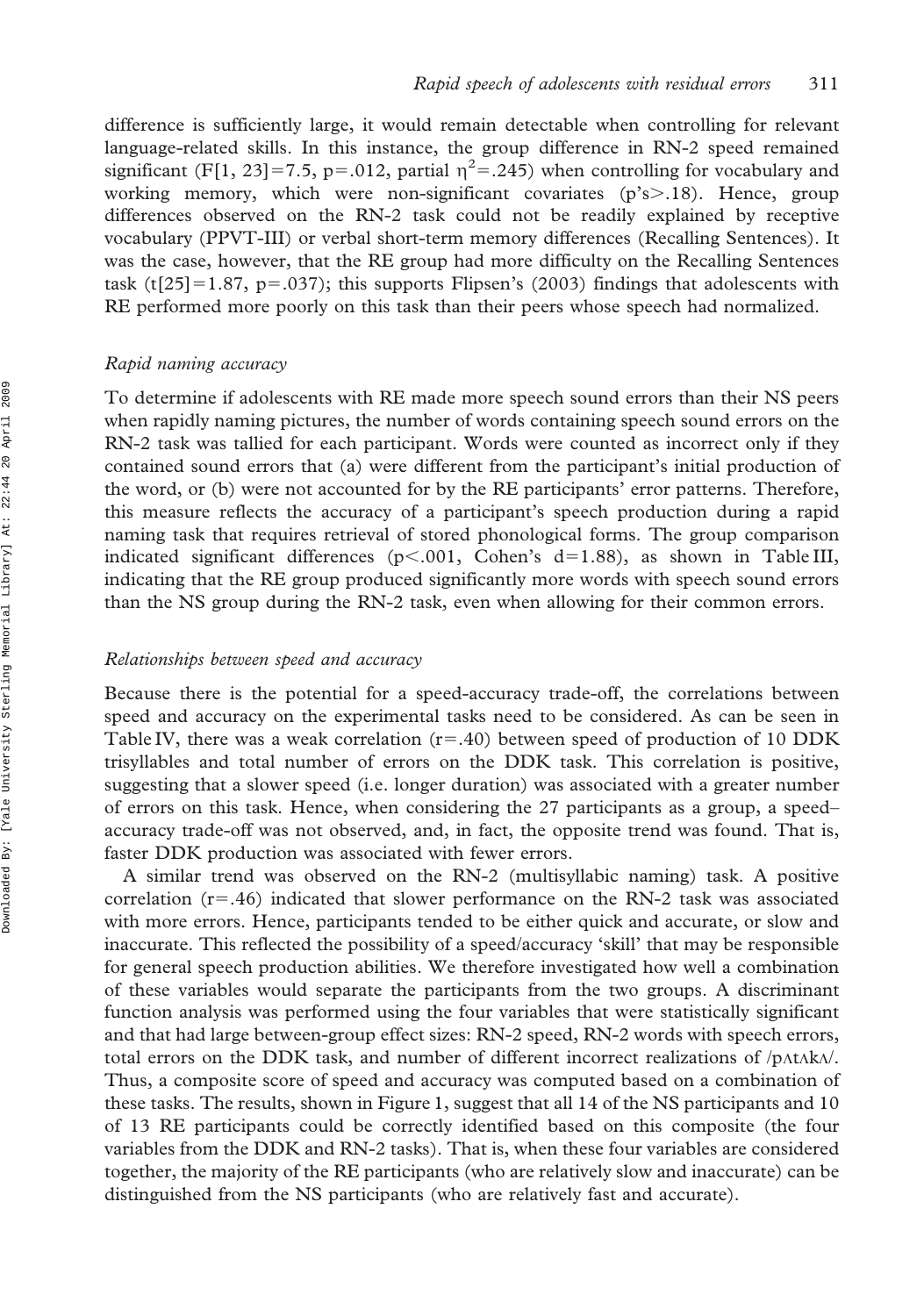difference is sufficiently large, it would remain detectable when controlling for relevant language-related skills. In this instance, the group difference in RN-2 speed remained significant (F[1, 23]=7.5, p=.012, partial  $\eta^2$ =.245) when controlling for vocabulary and working memory, which were non-significant covariates  $(p's > 0.18)$ . Hence, group differences observed on the RN-2 task could not be readily explained by receptive vocabulary (PPVT-III) or verbal short-term memory differences (Recalling Sentences). It was the case, however, that the RE group had more difficulty on the Recalling Sentences task (t[25]=1.87, p=.037); this supports Flipsen's (2003) findings that adolescents with RE performed more poorly on this task than their peers whose speech had normalized.

## Rapid naming accuracy

To determine if adolescents with RE made more speech sound errors than their NS peers when rapidly naming pictures, the number of words containing speech sound errors on the RN-2 task was tallied for each participant. Words were counted as incorrect only if they contained sound errors that (a) were different from the participant's initial production of the word, or (b) were not accounted for by the RE participants' error patterns. Therefore, this measure reflects the accuracy of a participant's speech production during a rapid naming task that requires retrieval of stored phonological forms. The group comparison indicated significant differences (p<.001, Cohen's d=1.88), as shown in Table III, indicating that the RE group produced significantly more words with speech sound errors than the NS group during the RN-2 task, even when allowing for their common errors.

#### Relationships between speed and accuracy

Because there is the potential for a speed-accuracy trade-off, the correlations between speed and accuracy on the experimental tasks need to be considered. As can be seen in Table IV, there was a weak correlation  $(r=.40)$  between speed of production of 10 DDK trisyllables and total number of errors on the DDK task. This correlation is positive, suggesting that a slower speed (i.e. longer duration) was associated with a greater number of errors on this task. Hence, when considering the 27 participants as a group, a speed– accuracy trade-off was not observed, and, in fact, the opposite trend was found. That is, faster DDK production was associated with fewer errors.

A similar trend was observed on the RN-2 (multisyllabic naming) task. A positive correlation  $(r=46)$  indicated that slower performance on the RN-2 task was associated with more errors. Hence, participants tended to be either quick and accurate, or slow and inaccurate. This reflected the possibility of a speed/accuracy 'skill' that may be responsible for general speech production abilities. We therefore investigated how well a combination of these variables would separate the participants from the two groups. A discriminant function analysis was performed using the four variables that were statistically significant and that had large between-group effect sizes: RN-2 speed, RN-2 words with speech errors, total errors on the DDK task, and number of different incorrect realizations of  $/p$ AtAk $\lambda$ . Thus, a composite score of speed and accuracy was computed based on a combination of these tasks. The results, shown in Figure 1, suggest that all 14 of the NS participants and 10 of 13 RE participants could be correctly identified based on this composite (the four variables from the DDK and RN-2 tasks). That is, when these four variables are considered together, the majority of the RE participants (who are relatively slow and inaccurate) can be distinguished from the NS participants (who are relatively fast and accurate).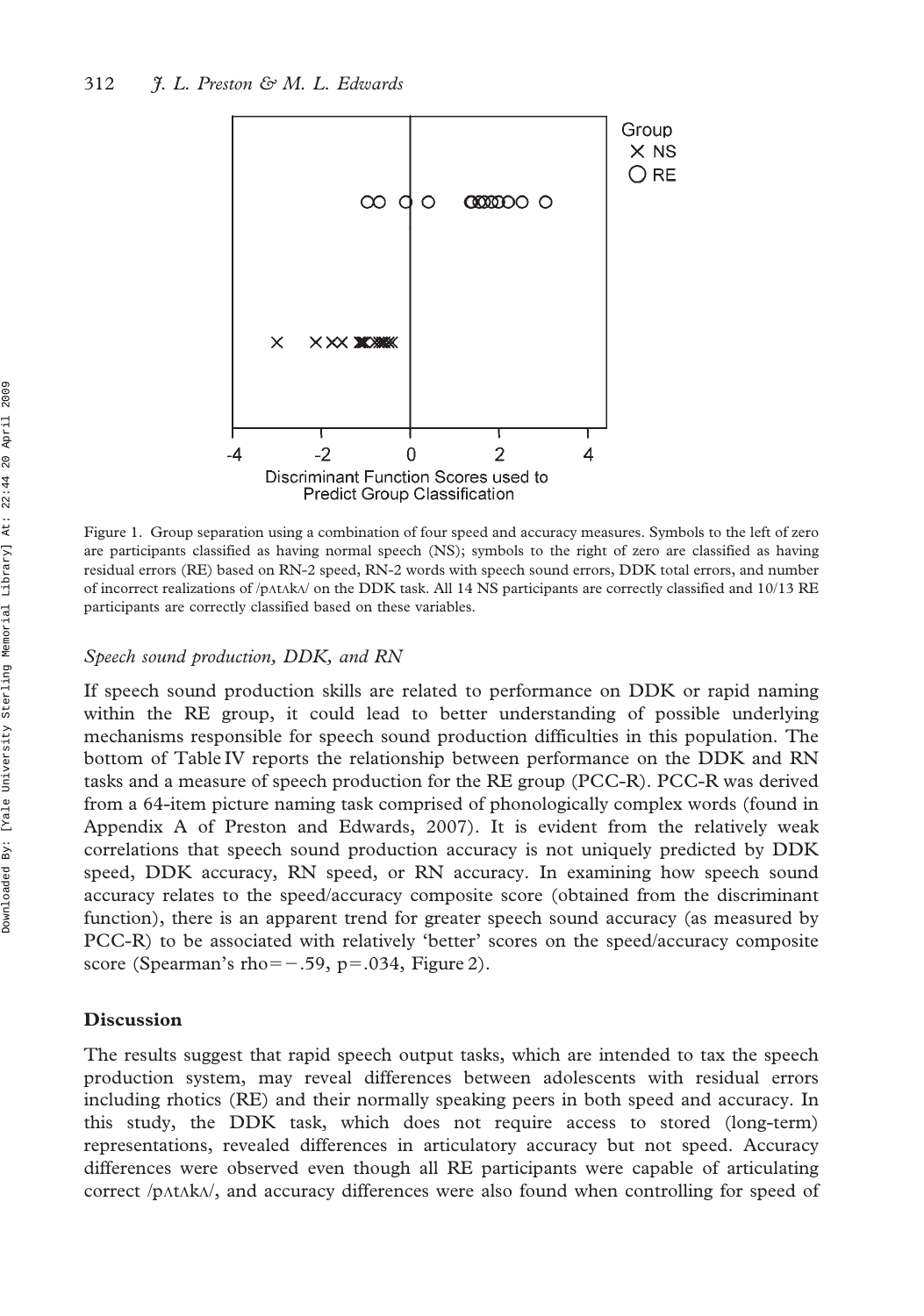

Figure 1. Group separation using a combination of four speed and accuracy measures. Symbols to the left of zero are participants classified as having normal speech (NS); symbols to the right of zero are classified as having residual errors (RE) based on RN-2 speed, RN-2 words with speech sound errors, DDK total errors, and number of incorrect realizations of /p $\Lambda$ t $\Lambda$ k $\Lambda$ / on the DDK task. All 14 NS participants are correctly classified and 10/13 RE participants are correctly classified based on these variables.

## Speech sound production, DDK, and RN

If speech sound production skills are related to performance on DDK or rapid naming within the RE group, it could lead to better understanding of possible underlying mechanisms responsible for speech sound production difficulties in this population. The bottom of Table IV reports the relationship between performance on the DDK and RN tasks and a measure of speech production for the RE group (PCC-R). PCC-R was derived from a 64-item picture naming task comprised of phonologically complex words (found in Appendix A of Preston and Edwards, 2007). It is evident from the relatively weak correlations that speech sound production accuracy is not uniquely predicted by DDK speed, DDK accuracy, RN speed, or RN accuracy. In examining how speech sound accuracy relates to the speed/accuracy composite score (obtained from the discriminant function), there is an apparent trend for greater speech sound accuracy (as measured by PCC-R) to be associated with relatively 'better' scores on the speed/accuracy composite score (Spearman's rho= $-.59$ , p=.034, Figure 2).

#### **Discussion**

The results suggest that rapid speech output tasks, which are intended to tax the speech production system, may reveal differences between adolescents with residual errors including rhotics (RE) and their normally speaking peers in both speed and accuracy. In this study, the DDK task, which does not require access to stored (long-term) representations, revealed differences in articulatory accuracy but not speed. Accuracy differences were observed even though all RE participants were capable of articulating correct /p $\Lambda$ t $\Lambda$ k $\Lambda$ /, and accuracy differences were also found when controlling for speed of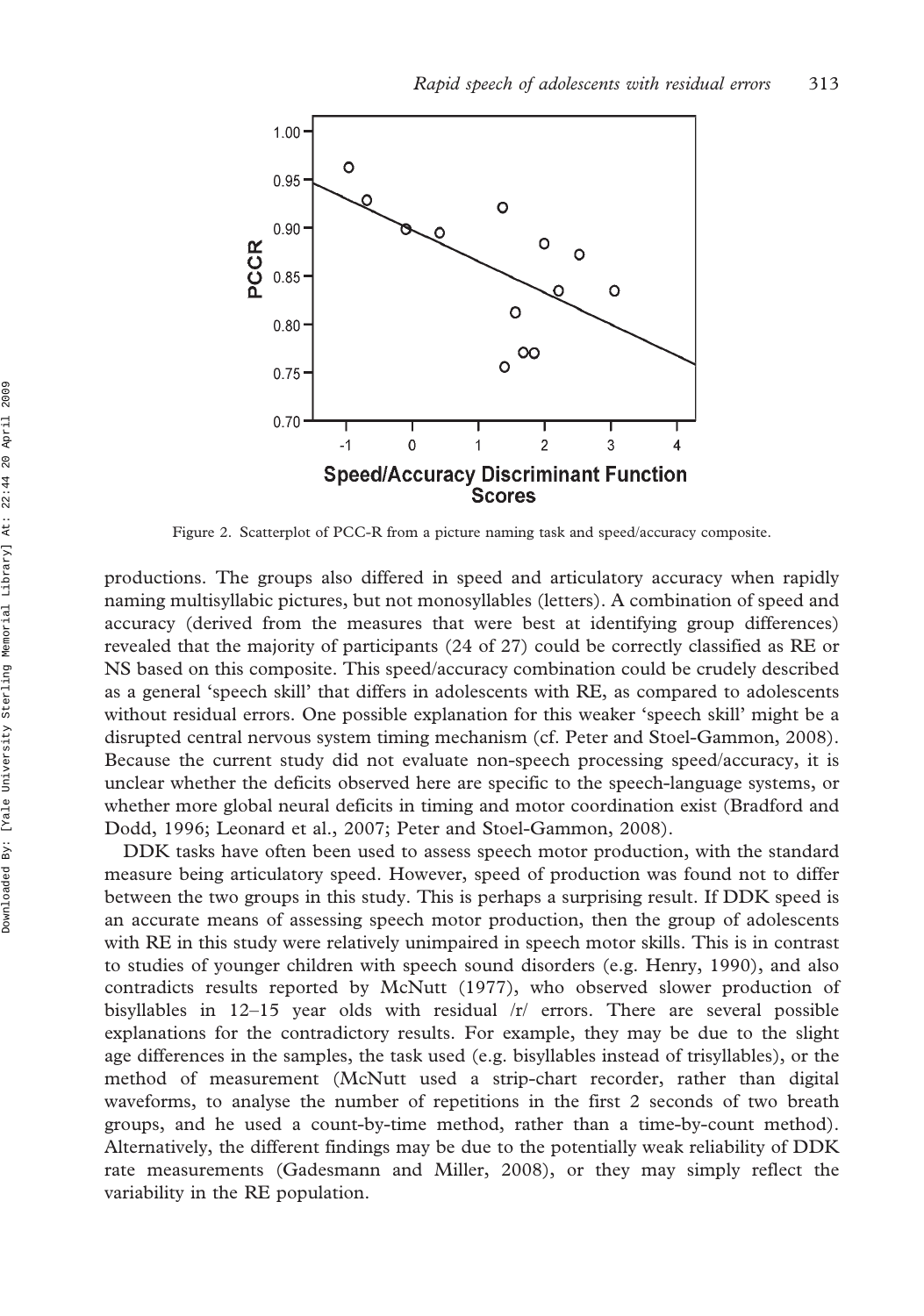

Figure 2. Scatterplot of PCC-R from a picture naming task and speed/accuracy composite.

productions. The groups also differed in speed and articulatory accuracy when rapidly naming multisyllabic pictures, but not monosyllables (letters). A combination of speed and accuracy (derived from the measures that were best at identifying group differences) revealed that the majority of participants (24 of 27) could be correctly classified as RE or NS based on this composite. This speed/accuracy combination could be crudely described as a general 'speech skill' that differs in adolescents with RE, as compared to adolescents without residual errors. One possible explanation for this weaker 'speech skill' might be a disrupted central nervous system timing mechanism (cf. Peter and Stoel-Gammon, 2008). Because the current study did not evaluate non-speech processing speed/accuracy, it is unclear whether the deficits observed here are specific to the speech-language systems, or whether more global neural deficits in timing and motor coordination exist (Bradford and Dodd, 1996; Leonard et al., 2007; Peter and Stoel-Gammon, 2008).

DDK tasks have often been used to assess speech motor production, with the standard measure being articulatory speed. However, speed of production was found not to differ between the two groups in this study. This is perhaps a surprising result. If DDK speed is an accurate means of assessing speech motor production, then the group of adolescents with RE in this study were relatively unimpaired in speech motor skills. This is in contrast to studies of younger children with speech sound disorders (e.g. Henry, 1990), and also contradicts results reported by McNutt (1977), who observed slower production of bisyllables in  $12-15$  year olds with residual  $\pi$  errors. There are several possible explanations for the contradictory results. For example, they may be due to the slight age differences in the samples, the task used (e.g. bisyllables instead of trisyllables), or the method of measurement (McNutt used a strip-chart recorder, rather than digital waveforms, to analyse the number of repetitions in the first 2 seconds of two breath groups, and he used a count-by-time method, rather than a time-by-count method). Alternatively, the different findings may be due to the potentially weak reliability of DDK rate measurements (Gadesmann and Miller, 2008), or they may simply reflect the variability in the RE population.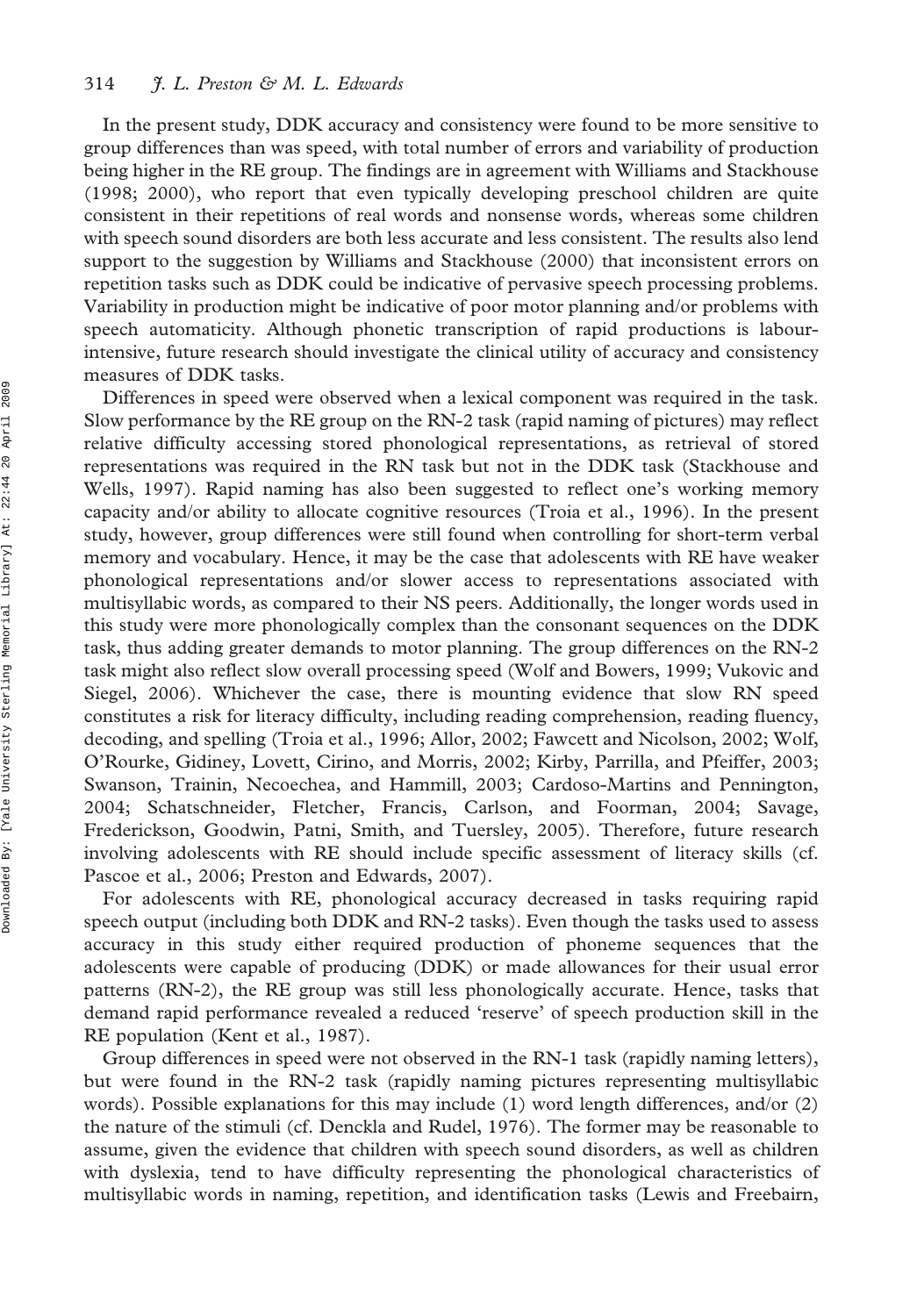In the present study, DDK accuracy and consistency were found to be more sensitive to group differences than was speed, with total number of errors and variability of production being higher in the RE group. The findings are in agreement with Williams and Stackhouse (1998; 2000), who report that even typically developing preschool children are quite consistent in their repetitions of real words and nonsense words, whereas some children with speech sound disorders are both less accurate and less consistent. The results also lend support to the suggestion by Williams and Stackhouse (2000) that inconsistent errors on repetition tasks such as DDK could be indicative of pervasive speech processing problems. Variability in production might be indicative of poor motor planning and/or problems with speech automaticity. Although phonetic transcription of rapid productions is labourintensive, future research should investigate the clinical utility of accuracy and consistency measures of DDK tasks.

Differences in speed were observed when a lexical component was required in the task. Slow performance by the RE group on the RN-2 task (rapid naming of pictures) may reflect relative difficulty accessing stored phonological representations, as retrieval of stored representations was required in the RN task but not in the DDK task (Stackhouse and Wells, 1997). Rapid naming has also been suggested to reflect one's working memory capacity and/or ability to allocate cognitive resources (Troia et al., 1996). In the present study, however, group differences were still found when controlling for short-term verbal memory and vocabulary. Hence, it may be the case that adolescents with RE have weaker phonological representations and/or slower access to representations associated with multisyllabic words, as compared to their NS peers. Additionally, the longer words used in this study were more phonologically complex than the consonant sequences on the DDK task, thus adding greater demands to motor planning. The group differences on the RN-2 task might also reflect slow overall processing speed (Wolf and Bowers, 1999; Vukovic and Siegel, 2006). Whichever the case, there is mounting evidence that slow RN speed constitutes a risk for literacy difficulty, including reading comprehension, reading fluency, decoding, and spelling (Troia et al., 1996; Allor, 2002; Fawcett and Nicolson, 2002; Wolf, O'Rourke, Gidiney, Lovett, Cirino, and Morris, 2002; Kirby, Parrilla, and Pfeiffer, 2003; Swanson, Trainin, Necoechea, and Hammill, 2003; Cardoso-Martins and Pennington, 2004; Schatschneider, Fletcher, Francis, Carlson, and Foorman, 2004; Savage, Frederickson, Goodwin, Patni, Smith, and Tuersley, 2005). Therefore, future research involving adolescents with RE should include specific assessment of literacy skills (cf. Pascoe et al., 2006; Preston and Edwards, 2007).

For adolescents with RE, phonological accuracy decreased in tasks requiring rapid speech output (including both DDK and RN-2 tasks). Even though the tasks used to assess accuracy in this study either required production of phoneme sequences that the adolescents were capable of producing (DDK) or made allowances for their usual error patterns (RN-2), the RE group was still less phonologically accurate. Hence, tasks that demand rapid performance revealed a reduced 'reserve' of speech production skill in the RE population (Kent et al., 1987).

Group differences in speed were not observed in the RN-1 task (rapidly naming letters), but were found in the RN-2 task (rapidly naming pictures representing multisyllabic words). Possible explanations for this may include (1) word length differences, and/or (2) the nature of the stimuli (cf. Denckla and Rudel, 1976). The former may be reasonable to assume, given the evidence that children with speech sound disorders, as well as children with dyslexia, tend to have difficulty representing the phonological characteristics of multisyllabic words in naming, repetition, and identification tasks (Lewis and Freebairn,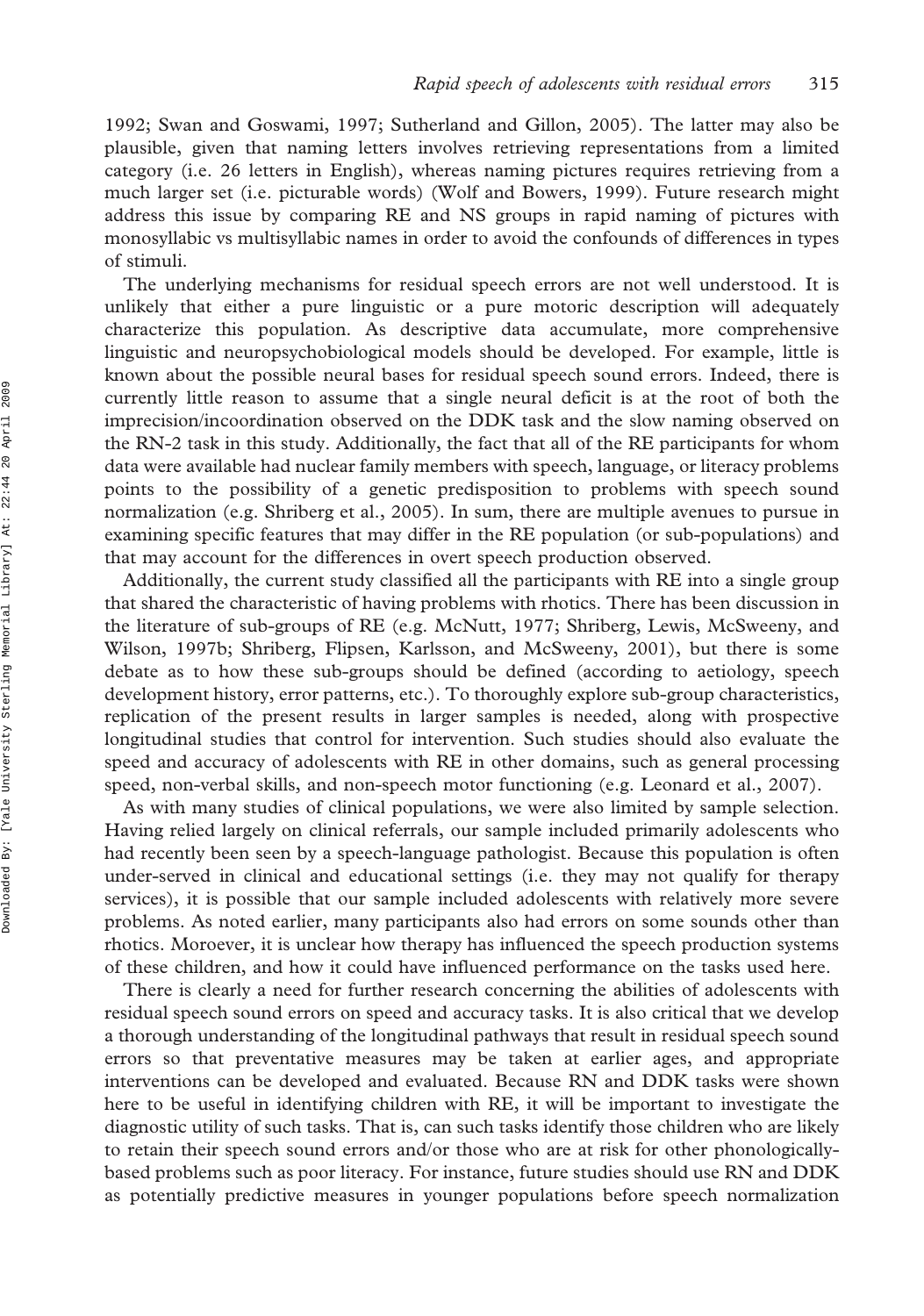1992; Swan and Goswami, 1997; Sutherland and Gillon, 2005). The latter may also be plausible, given that naming letters involves retrieving representations from a limited category (i.e. 26 letters in English), whereas naming pictures requires retrieving from a much larger set (i.e. picturable words) (Wolf and Bowers, 1999). Future research might address this issue by comparing RE and NS groups in rapid naming of pictures with monosyllabic vs multisyllabic names in order to avoid the confounds of differences in types of stimuli.

The underlying mechanisms for residual speech errors are not well understood. It is unlikely that either a pure linguistic or a pure motoric description will adequately characterize this population. As descriptive data accumulate, more comprehensive linguistic and neuropsychobiological models should be developed. For example, little is known about the possible neural bases for residual speech sound errors. Indeed, there is currently little reason to assume that a single neural deficit is at the root of both the imprecision/incoordination observed on the DDK task and the slow naming observed on the RN-2 task in this study. Additionally, the fact that all of the RE participants for whom data were available had nuclear family members with speech, language, or literacy problems points to the possibility of a genetic predisposition to problems with speech sound normalization (e.g. Shriberg et al., 2005). In sum, there are multiple avenues to pursue in examining specific features that may differ in the RE population (or sub-populations) and that may account for the differences in overt speech production observed.

Additionally, the current study classified all the participants with RE into a single group that shared the characteristic of having problems with rhotics. There has been discussion in the literature of sub-groups of RE (e.g. McNutt, 1977; Shriberg, Lewis, McSweeny, and Wilson, 1997b; Shriberg, Flipsen, Karlsson, and McSweeny, 2001), but there is some debate as to how these sub-groups should be defined (according to aetiology, speech development history, error patterns, etc.). To thoroughly explore sub-group characteristics, replication of the present results in larger samples is needed, along with prospective longitudinal studies that control for intervention. Such studies should also evaluate the speed and accuracy of adolescents with RE in other domains, such as general processing speed, non-verbal skills, and non-speech motor functioning (e.g. Leonard et al., 2007).

As with many studies of clinical populations, we were also limited by sample selection. Having relied largely on clinical referrals, our sample included primarily adolescents who had recently been seen by a speech-language pathologist. Because this population is often under-served in clinical and educational settings (i.e. they may not qualify for therapy services), it is possible that our sample included adolescents with relatively more severe problems. As noted earlier, many participants also had errors on some sounds other than rhotics. Moroever, it is unclear how therapy has influenced the speech production systems of these children, and how it could have influenced performance on the tasks used here.

There is clearly a need for further research concerning the abilities of adolescents with residual speech sound errors on speed and accuracy tasks. It is also critical that we develop a thorough understanding of the longitudinal pathways that result in residual speech sound errors so that preventative measures may be taken at earlier ages, and appropriate interventions can be developed and evaluated. Because RN and DDK tasks were shown here to be useful in identifying children with RE, it will be important to investigate the diagnostic utility of such tasks. That is, can such tasks identify those children who are likely to retain their speech sound errors and/or those who are at risk for other phonologicallybased problems such as poor literacy. For instance, future studies should use RN and DDK as potentially predictive measures in younger populations before speech normalization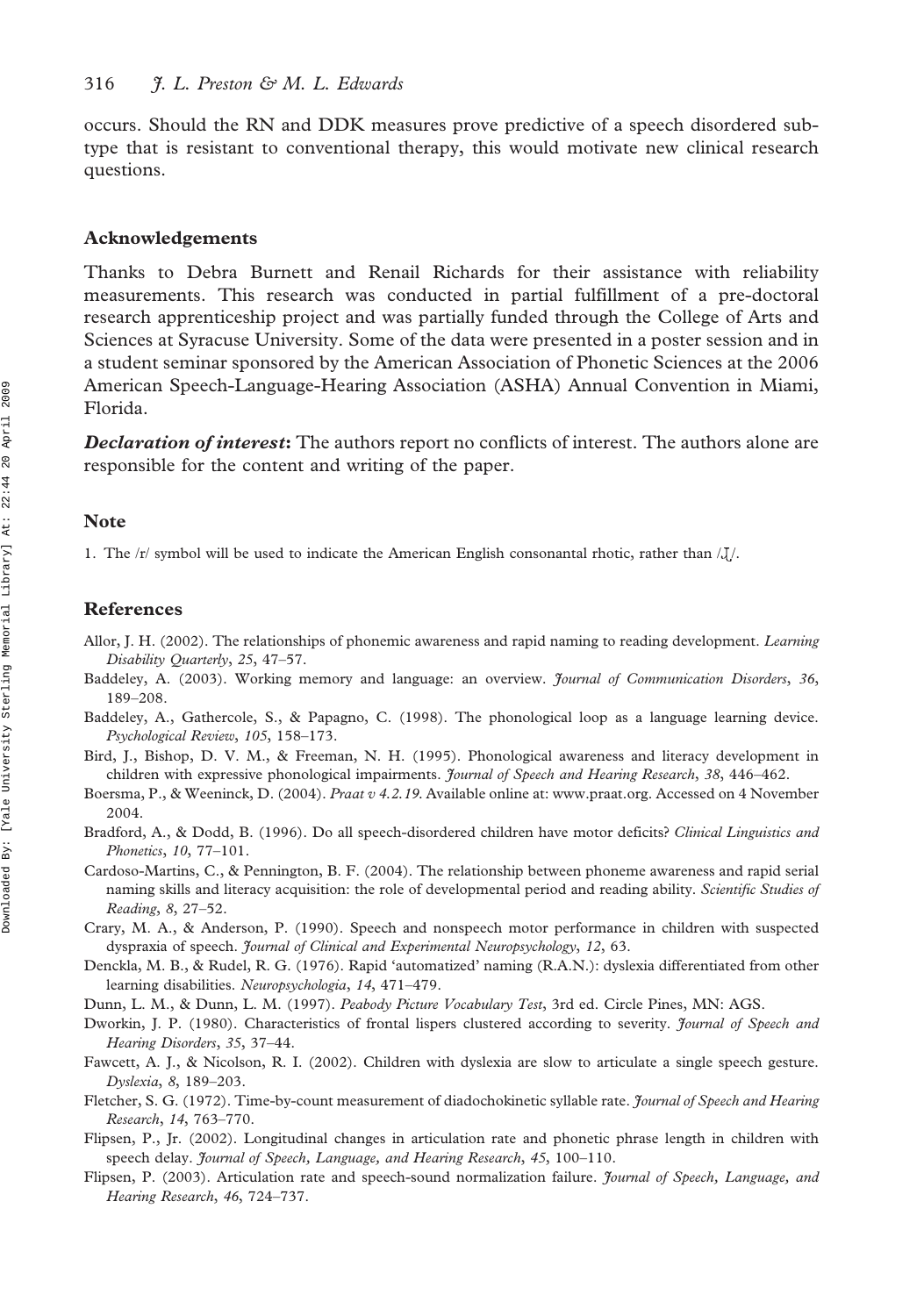occurs. Should the RN and DDK measures prove predictive of a speech disordered subtype that is resistant to conventional therapy, this would motivate new clinical research questions.

#### Acknowledgements

Thanks to Debra Burnett and Renail Richards for their assistance with reliability measurements. This research was conducted in partial fulfillment of a pre-doctoral research apprenticeship project and was partially funded through the College of Arts and Sciences at Syracuse University. Some of the data were presented in a poster session and in a student seminar sponsored by the American Association of Phonetic Sciences at the 2006 American Speech-Language-Hearing Association (ASHA) Annual Convention in Miami, Florida.

**Declaration of interest:** The authors report no conflicts of interest. The authors alone are responsible for the content and writing of the paper.

#### **Note**

1. The /r/ symbol will be used to indicate the American English consonantal rhotic, rather than  $\lambda J$ .

#### References

- Allor, J. H. (2002). The relationships of phonemic awareness and rapid naming to reading development. *Learning* Disability Quarterly, 25, 47–57.
- Baddeley, A. (2003). Working memory and language: an overview. Journal of Communication Disorders, 36, 189–208.
- Baddeley, A., Gathercole, S., & Papagno, C. (1998). The phonological loop as a language learning device. Psychological Review, 105, 158–173.
- Bird, J., Bishop, D. V. M., & Freeman, N. H. (1995). Phonological awareness and literacy development in children with expressive phonological impairments. *Journal of Speech and Hearing Research*, 38, 446-462.
- Boersma, P., & Weeninck, D. (2004). Praat v 4.2.19. Available online at: www.praat.org. Accessed on 4 November 2004.
- Bradford, A., & Dodd, B. (1996). Do all speech-disordered children have motor deficits? Clinical Linguistics and Phonetics, 10, 77–101.
- Cardoso-Martins, C., & Pennington, B. F. (2004). The relationship between phoneme awareness and rapid serial naming skills and literacy acquisition: the role of developmental period and reading ability. Scientific Studies of Reading, 8, 27–52.
- Crary, M. A., & Anderson, P. (1990). Speech and nonspeech motor performance in children with suspected dyspraxia of speech. Journal of Clinical and Experimental Neuropsychology, 12, 63.
- Denckla, M. B., & Rudel, R. G. (1976). Rapid 'automatized' naming (R.A.N.): dyslexia differentiated from other learning disabilities. Neuropsychologia, 14, 471–479.
- Dunn, L. M., & Dunn, L. M. (1997). Peabody Picture Vocabulary Test, 3rd ed. Circle Pines, MN: AGS.
- Dworkin, J. P. (1980). Characteristics of frontal lispers clustered according to severity. Journal of Speech and Hearing Disorders, 35, 37–44.
- Fawcett, A. J., & Nicolson, R. I. (2002). Children with dyslexia are slow to articulate a single speech gesture. Dyslexia, 8, 189–203.
- Fletcher, S. G. (1972). Time-by-count measurement of diadochokinetic syllable rate. Journal of Speech and Hearing Research, 14, 763–770.
- Flipsen, P., Jr. (2002). Longitudinal changes in articulation rate and phonetic phrase length in children with speech delay. Journal of Speech, Language, and Hearing Research, 45, 100–110.
- Flipsen, P. (2003). Articulation rate and speech-sound normalization failure. Journal of Speech, Language, and Hearing Research, 46, 724–737.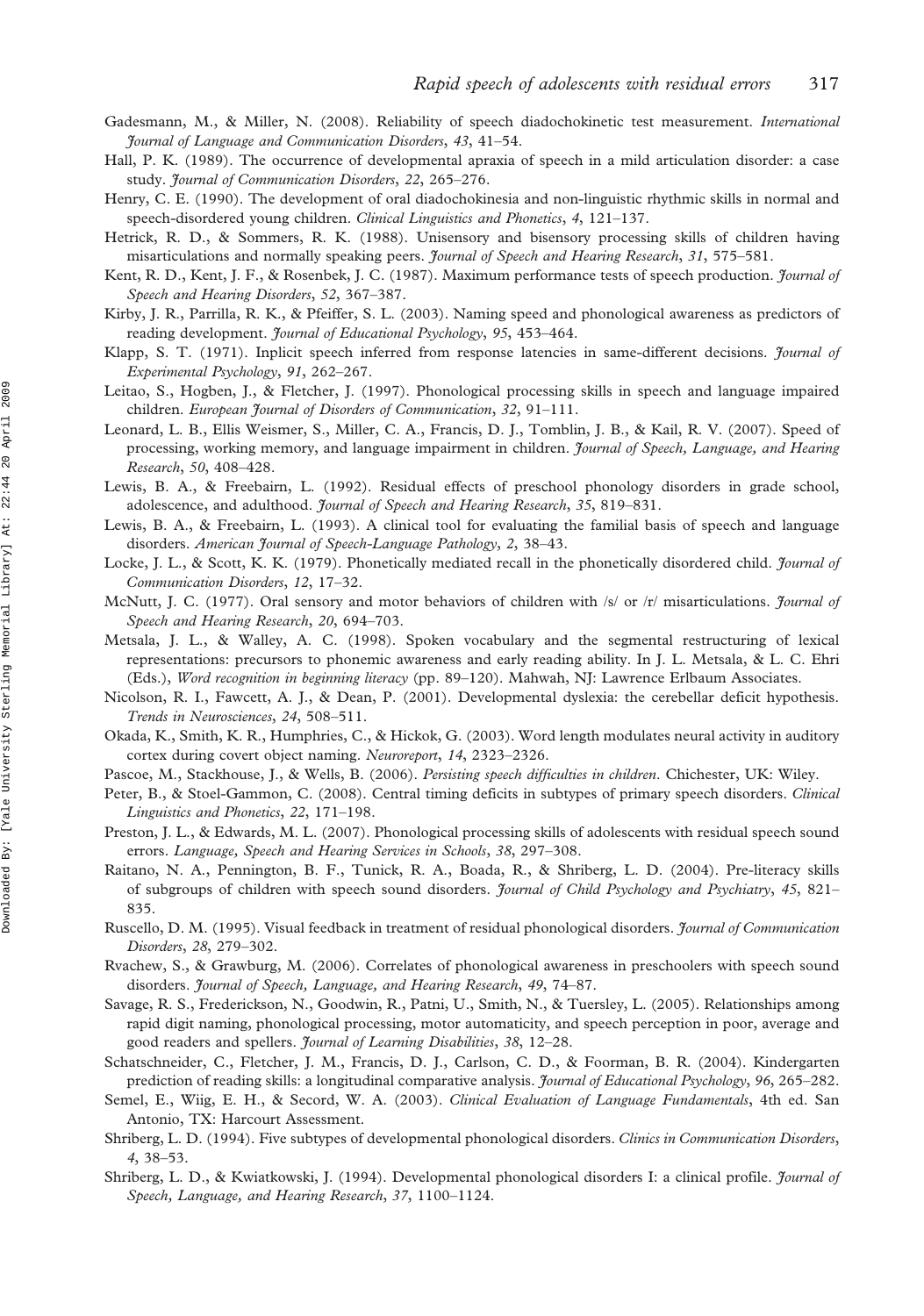- Gadesmann, M., & Miller, N. (2008). Reliability of speech diadochokinetic test measurement. International Journal of Language and Communication Disorders, 43, 41–54.
- Hall, P. K. (1989). The occurrence of developmental apraxia of speech in a mild articulation disorder: a case study. Journal of Communication Disorders, 22, 265–276.
- Henry, C. E. (1990). The development of oral diadochokinesia and non-linguistic rhythmic skills in normal and speech-disordered young children. Clinical Linguistics and Phonetics, 4, 121-137.
- Hetrick, R. D., & Sommers, R. K. (1988). Unisensory and bisensory processing skills of children having misarticulations and normally speaking peers. *Journal of Speech and Hearing Research*, 31, 575–581.
- Kent, R. D., Kent, J. F., & Rosenbek, J. C. (1987). Maximum performance tests of speech production. *Journal of* Speech and Hearing Disorders, 52, 367–387.
- Kirby, J. R., Parrilla, R. K., & Pfeiffer, S. L. (2003). Naming speed and phonological awareness as predictors of reading development. *Journal of Educational Psychology*, 95, 453-464.
- Klapp, S. T. (1971). Inplicit speech inferred from response latencies in same-different decisions. Journal of Experimental Psychology, 91, 262–267.
- Leitao, S., Hogben, J., & Fletcher, J. (1997). Phonological processing skills in speech and language impaired children. European Journal of Disorders of Communication, 32, 91-111.
- Leonard, L. B., Ellis Weismer, S., Miller, C. A., Francis, D. J., Tomblin, J. B., & Kail, R. V. (2007). Speed of processing, working memory, and language impairment in children. Journal of Speech, Language, and Hearing Research, 50, 408–428.
- Lewis, B. A., & Freebairn, L. (1992). Residual effects of preschool phonology disorders in grade school, adolescence, and adulthood. Journal of Speech and Hearing Research, 35, 819-831.
- Lewis, B. A., & Freebairn, L. (1993). A clinical tool for evaluating the familial basis of speech and language disorders. American Journal of Speech-Language Pathology, 2, 38-43.
- Locke, J. L., & Scott, K. K. (1979). Phonetically mediated recall in the phonetically disordered child. Journal of Communication Disorders, 12, 17–32.
- McNutt, J. C. (1977). Oral sensory and motor behaviors of children with /s/ or /r/ misarticulations. *Journal of* Speech and Hearing Research, 20, 694–703.
- Metsala, J. L., & Walley, A. C. (1998). Spoken vocabulary and the segmental restructuring of lexical representations: precursors to phonemic awareness and early reading ability. In J. L. Metsala, & L. C. Ehri (Eds.), Word recognition in beginning literacy (pp. 89–120). Mahwah, NJ: Lawrence Erlbaum Associates.
- Nicolson, R. I., Fawcett, A. J., & Dean, P. (2001). Developmental dyslexia: the cerebellar deficit hypothesis. Trends in Neurosciences, 24, 508–511.
- Okada, K., Smith, K. R., Humphries, C., & Hickok, G. (2003). Word length modulates neural activity in auditory cortex during covert object naming. Neuroreport, 14, 2323–2326.
- Pascoe, M., Stackhouse, J., & Wells, B. (2006). Persisting speech difficulties in children. Chichester, UK: Wiley.
- Peter, B., & Stoel-Gammon, C. (2008). Central timing deficits in subtypes of primary speech disorders. Clinical Linguistics and Phonetics, 22, 171–198.
- Preston, J. L., & Edwards, M. L. (2007). Phonological processing skills of adolescents with residual speech sound errors. Language, Speech and Hearing Services in Schools, 38, 297–308.
- Raitano, N. A., Pennington, B. F., Tunick, R. A., Boada, R., & Shriberg, L. D. (2004). Pre-literacy skills of subgroups of children with speech sound disorders. Journal of Child Psychology and Psychiatry, 45, 821– 835.
- Ruscello, D. M. (1995). Visual feedback in treatment of residual phonological disorders. *Journal of Communication* Disorders, 28, 279–302.
- Rvachew, S., & Grawburg, M. (2006). Correlates of phonological awareness in preschoolers with speech sound disorders. Journal of Speech, Language, and Hearing Research, 49, 74–87.
- Savage, R. S., Frederickson, N., Goodwin, R., Patni, U., Smith, N., & Tuersley, L. (2005). Relationships among rapid digit naming, phonological processing, motor automaticity, and speech perception in poor, average and good readers and spellers. Journal of Learning Disabilities, 38, 12–28.
- Schatschneider, C., Fletcher, J. M., Francis, D. J., Carlson, C. D., & Foorman, B. R. (2004). Kindergarten prediction of reading skills: a longitudinal comparative analysis. *Journal of Educational Psychology*, 96, 265-282.
- Semel, E., Wiig, E. H., & Secord, W. A. (2003). Clinical Evaluation of Language Fundamentals, 4th ed. San Antonio, TX: Harcourt Assessment.
- Shriberg, L. D. (1994). Five subtypes of developmental phonological disorders. Clinics in Communication Disorders, 4, 38–53.
- Shriberg, L. D., & Kwiatkowski, J. (1994). Developmental phonological disorders I: a clinical profile. Journal of Speech, Language, and Hearing Research, 37, 1100–1124.